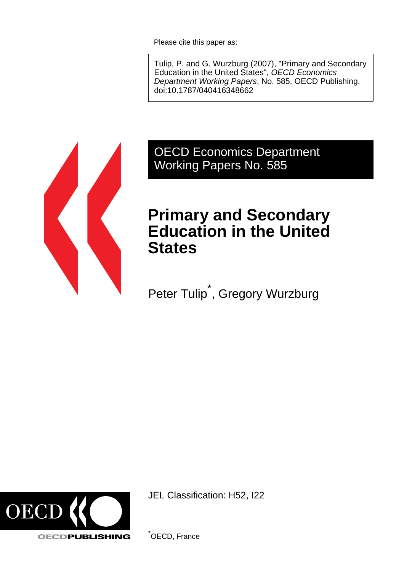Please cite this paper as:

Tulip, P. and G. Wurzburg (2007), "Primary and Secondary Education in the United States", OECD Economics Department Working Papers, No. 585, OECD Publishing. [doi:10.1787/040416348662](http://dx.doi.org/10.1787/040416348662)



OECD Economics Department Working Papers No. 585

# **Primary and Secondary Education in the United States**

Peter Tulip<sup>\*</sup>, Gregory Wurzburg



JEL Classification: H52, I22

OECD, France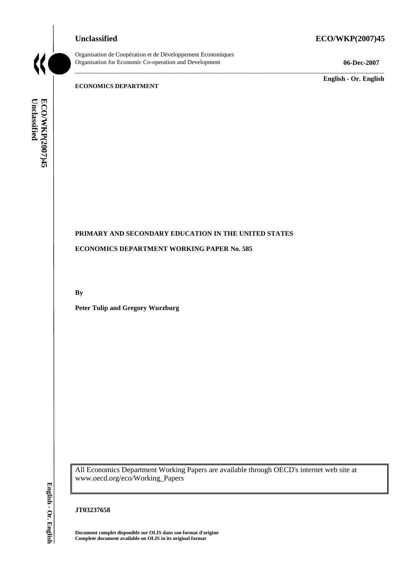# **Unclassified ECO/WKP(2007)45**



Organisation de Coopération et de Développement Economiques Organisation for Economic Co-operation and Development **06-Dec-2007** 

\_\_\_\_\_\_\_\_\_\_\_\_\_\_\_\_\_\_\_\_\_\_\_\_\_\_\_\_\_\_\_\_\_\_\_\_\_\_\_\_\_\_\_\_\_\_\_\_\_\_\_\_\_\_\_\_\_\_\_\_\_\_\_\_\_\_\_\_\_\_\_\_\_\_\_\_\_\_\_\_\_\_\_\_\_\_\_\_\_\_\_

\_\_\_\_\_\_\_\_\_\_\_\_\_ **English - Or. English** 

# **ECONOMICS DEPARTMENT**

Unclassified ECO/WKP(2007)45 **Unclassified ECO/WKP(2007)45 English - Or. English**

# **PRIMARY AND SECONDARY EDUCATION IN THE UNITED STATES**

# **ECONOMICS DEPARTMENT WORKING PAPER No. 585**

**By** 

**Peter Tulip and Gregory Wurzburg** 

All Economics Department Working Papers are available through OECD's internet web site at www.oecd.org/eco/Working\_Papers

# **JT03237658**

**Document complet disponible sur OLIS dans son format d'origine Complete document available on OLIS in its original format**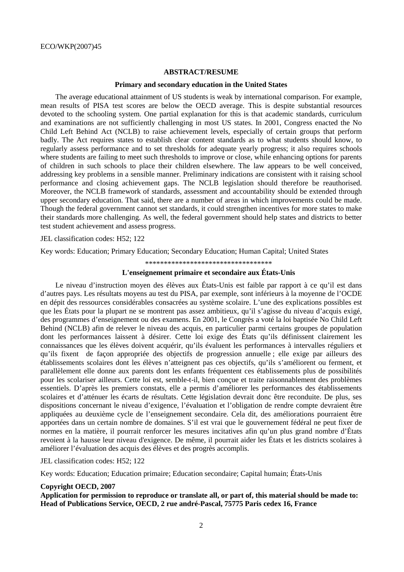#### **ABSTRACT/RESUME**

#### **Primary and secondary education in the United States**

The average educational attainment of US students is weak by international comparison. For example, mean results of PISA test scores are below the OECD average. This is despite substantial resources devoted to the schooling system. One partial explanation for this is that academic standards, curriculum and examinations are not sufficiently challenging in most US states. In 2001, Congress enacted the No Child Left Behind Act (NCLB) to raise achievement levels, especially of certain groups that perform badly. The Act requires states to establish clear content standards as to what students should know, to regularly assess performance and to set thresholds for adequate yearly progress; it also requires schools where students are failing to meet such thresholds to improve or close, while enhancing options for parents of children in such schools to place their children elsewhere. The law appears to be well conceived, addressing key problems in a sensible manner. Preliminary indications are consistent with it raising school performance and closing achievement gaps. The NCLB legislation should therefore be reauthorised. Moreover, the NCLB framework of standards, assessment and accountability should be extended through upper secondary education. That said, there are a number of areas in which improvements could be made. Though the federal government cannot set standards, it could strengthen incentives for more states to make their standards more challenging. As well, the federal government should help states and districts to better test student achievement and assess progress.

JEL classification codes: H52; 122

Key words: Education; Primary Education; Secondary Education; Human Capital; United States

\*\*\*\*\*\*\*\*\*\*\*\*\*\*\*\*\*\*\*\*\*\*\*\*\*\*\*\*\*\*\*\*\*\*

#### **L'enseignement primaire et secondaire aux États-Unis**

Le niveau d'instruction moyen des élèves aux États-Unis est faible par rapport à ce qu'il est dans d'autres pays. Les résultats moyens au test du PISA, par exemple, sont inférieurs à la moyenne de l'OCDE en dépit des ressources considérables consacrées au système scolaire. L'une des explications possibles est que les États pour la plupart ne se montrent pas assez ambitieux, qu'il s'agisse du niveau d'acquis exigé, des programmes d'enseignement ou des examens. En 2001, le Congrès a voté la loi baptisée No Child Left Behind (NCLB) afin de relever le niveau des acquis, en particulier parmi certains groupes de population dont les performances laissent à désirer. Cette loi exige des États qu'ils définissent clairement les connaissances que les élèves doivent acquérir, qu'ils évaluent les performances à intervalles réguliers et qu'ils fixent de façon appropriée des objectifs de progression annuelle ; elle exige par ailleurs des établissements scolaires dont les élèves n'atteignent pas ces objectifs, qu'ils s'améliorent ou ferment, et parallèlement elle donne aux parents dont les enfants fréquentent ces établissements plus de possibilités pour les scolariser ailleurs. Cette loi est, semble-t-il, bien conçue et traite raisonnablement des problèmes essentiels. D'après les premiers constats, elle a permis d'améliorer les performances des établissements scolaires et d'atténuer les écarts de résultats. Cette législation devrait donc être reconduite. De plus, ses dispositions concernant le niveau d'exigence, l'évaluation et l'obligation de rendre compte devraient être appliquées au deuxième cycle de l'enseignement secondaire. Cela dit, des améliorations pourraient être apportées dans un certain nombre de domaines. S'il est vrai que le gouvernement fédéral ne peut fixer de normes en la matière, il pourrait renforcer les mesures incitatives afin qu'un plus grand nombre d'États revoient à la hausse leur niveau d'exigence. De même, il pourrait aider les États et les districts scolaires à améliorer l'évaluation des acquis des élèves et des progrès accomplis.

JEL classification codes: H52; 122

Key words: Education; Education primaire; Education secondaire; Capital humain; États-Unis

### **Copyright OECD, 2007**

**Application for permission to reproduce or translate all, or part of, this material should be made to: Head of Publications Service, OECD, 2 rue andré-Pascal, 75775 Paris cedex 16, France**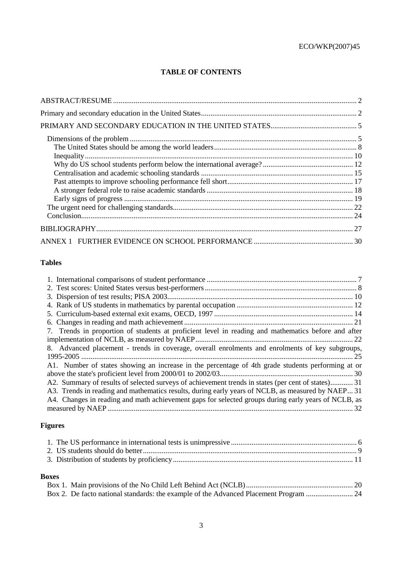# **TABLE OF CONTENTS**

# **Tables**

| 7. Trends in proportion of students at proficient level in reading and mathematics before and after |
|-----------------------------------------------------------------------------------------------------|
|                                                                                                     |
| 8. Advanced placement - trends in coverage, overall enrolments and enrolments of key subgroups,     |
| . 25                                                                                                |
| A1. Number of states showing an increase in the percentage of 4th grade students performing at or   |
|                                                                                                     |
| A2. Summary of results of selected surveys of achievement trends in states (per cent of states) 31  |
| A3. Trends in reading and mathematics results, during early years of NCLB, as measured by NAEP 31   |
| A4. Changes in reading and math achievement gaps for selected groups during early years of NCLB, as |
|                                                                                                     |

# **Figures**

| <b>Boxes</b> |  |
|--------------|--|
|              |  |

|  | Box 2. De facto national standards: the example of the Advanced Placement Program 24 |  |
|--|--------------------------------------------------------------------------------------|--|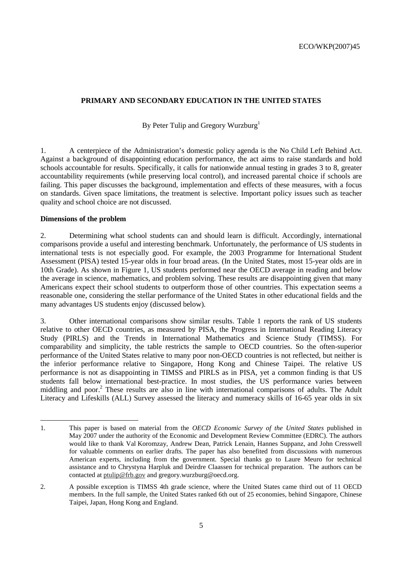# **PRIMARY AND SECONDARY EDUCATION IN THE UNITED STATES**

# By Peter Tulip and Gregory Wurzburg<sup>1</sup>

1. A centerpiece of the Administration's domestic policy agenda is the No Child Left Behind Act. Against a background of disappointing education performance, the act aims to raise standards and hold schools accountable for results. Specifically, it calls for nationwide annual testing in grades 3 to 8, greater accountability requirements (while preserving local control), and increased parental choice if schools are failing. This paper discusses the background, implementation and effects of these measures, with a focus on standards. Given space limitations, the treatment is selective. Important policy issues such as teacher quality and school choice are not discussed.

#### **Dimensions of the problem**

 $\overline{a}$ 

2. Determining what school students can and should learn is difficult. Accordingly, international comparisons provide a useful and interesting benchmark. Unfortunately, the performance of US students in international tests is not especially good. For example, the 2003 Programme for International Student Assessment (PISA) tested 15-year olds in four broad areas. (In the United States, most 15-year olds are in 10th Grade). As shown in Figure 1, US students performed near the OECD average in reading and below the average in science, mathematics, and problem solving. These results are disappointing given that many Americans expect their school students to outperform those of other countries. This expectation seems a reasonable one, considering the stellar performance of the United States in other educational fields and the many advantages US students enjoy (discussed below).

3. Other international comparisons show similar results. Table 1 reports the rank of US students relative to other OECD countries, as measured by PISA, the Progress in International Reading Literacy Study (PIRLS) and the Trends in International Mathematics and Science Study (TIMSS). For comparability and simplicity, the table restricts the sample to OECD countries. So the often-superior performance of the United States relative to many poor non-OECD countries is not reflected, but neither is the inferior performance relative to Singapore, Hong Kong and Chinese Taipei. The relative US performance is not as disappointing in TIMSS and PIRLS as in PISA, yet a common finding is that US students fall below international best-practice. In most studies, the US performance varies between middling and poor.<sup>2</sup> These results are also in line with international comparisons of adults. The Adult Literacy and Lifeskills (ALL) Survey assessed the literacy and numeracy skills of 16-65 year olds in six

<sup>1.</sup> This paper is based on material from the *OECD Economic Survey of the United States* published in May 2007 under the authority of the Economic and Development Review Committee (EDRC). The authors would like to thank Val Koromzay, Andrew Dean, Patrick Lenain, Hannes Suppanz, and John Cresswell for valuable comments on earlier drafts*.* The paper has also benefited from discussions with numerous American experts, including from the government. Special thanks go to Laure Meuro for technical assistance and to Chrystyna Harpluk and Deirdre Claassen for technical preparation. The authors can be contacted at ptulip@frb.gov and gregory.wurzburg@oecd.org.

<sup>2.</sup> A possible exception is TIMSS 4th grade science, where the United States came third out of 11 OECD members. In the full sample, the United States ranked 6th out of 25 economies, behind Singapore, Chinese Taipei, Japan, Hong Kong and England.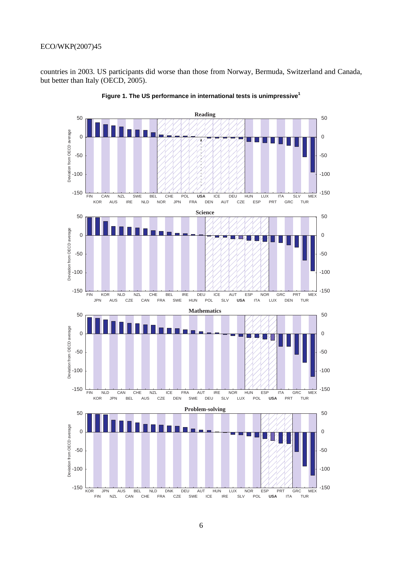countries in 2003. US participants did worse than those from Norway, Bermuda, Switzerland and Canada, but better than Italy (OECD, 2005).



**Figure 1. The US performance in international tests is unimpressive<sup>1</sup>**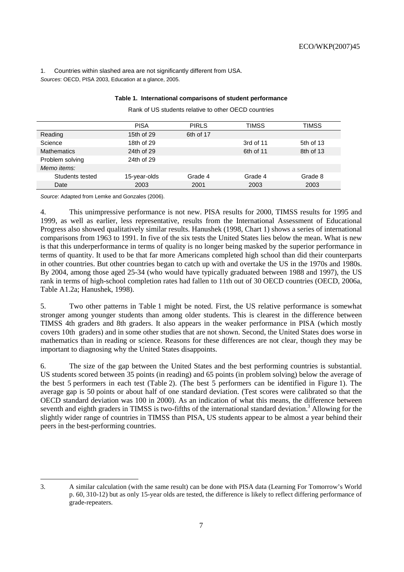1. Countries within slashed area are not significantly different from USA. *Sources*: OECD, PISA 2003, Education at a glance, 2005.

### **Table 1. International comparisons of student performance**

Rank of US students relative to other OECD countries

|                    | <b>PISA</b>  | <b>PIRLS</b> | <b>TIMSS</b> | <b>TIMSS</b> |
|--------------------|--------------|--------------|--------------|--------------|
| Reading            | 15th of 29   | 6th of 17    |              |              |
| Science            | 18th of 29   |              | 3rd of 11    | 5th of 13    |
| <b>Mathematics</b> | 24th of 29   |              | 6th of 11    | 8th of 13    |
| Problem solving    | 24th of 29   |              |              |              |
| Memo items:        |              |              |              |              |
| Students tested    | 15-year-olds | Grade 4      | Grade 4      | Grade 8      |
| Date               | 2003         | 2001         | 2003         | 2003         |

*Source*: Adapted from Lemke and Gonzales (2006).

4. This unimpressive performance is not new. PISA results for 2000, TIMSS results for 1995 and 1999, as well as earlier, less representative, results from the International Assessment of Educational Progress also showed qualitatively similar results. Hanushek (1998, Chart 1) shows a series of international comparisons from 1963 to 1991. In five of the six tests the United States lies below the mean. What is new is that this underperformance in terms of quality is no longer being masked by the superior performance in terms of quantity. It used to be that far more Americans completed high school than did their counterparts in other countries. But other countries began to catch up with and overtake the US in the 1970s and 1980s. By 2004, among those aged 25-34 (who would have typically graduated between 1988 and 1997), the US rank in terms of high-school completion rates had fallen to 11th out of 30 OECD countries (OECD, 2006a, Table A1.2a; Hanushek, 1998).

5. Two other patterns in Table 1 might be noted. First, the US relative performance is somewhat stronger among younger students than among older students. This is clearest in the difference between TIMSS 4th graders and 8th graders. It also appears in the weaker performance in PISA (which mostly covers 10th graders) and in some other studies that are not shown. Second, the United States does worse in mathematics than in reading or science. Reasons for these differences are not clear, though they may be important to diagnosing why the United States disappoints.

6. The size of the gap between the United States and the best performing countries is substantial. US students scored between 35 points (in reading) and 65 points (in problem solving) below the average of the best 5 performers in each test (Table 2). (The best 5 performers can be identified in Figure 1). The average gap is 50 points or about half of one standard deviation. (Test scores were calibrated so that the OECD standard deviation was 100 in 2000). As an indication of what this means, the difference between seventh and eighth graders in TIMSS is two-fifths of the international standard deviation.<sup>3</sup> Allowing for the slightly wider range of countries in TIMSS than PISA, US students appear to be almost a year behind their peers in the best-performing countries.

 $\overline{a}$ 

<sup>3.</sup> A similar calculation (with the same result) can be done with PISA data (Learning For Tomorrow's World p. 60, 310-12) but as only 15-year olds are tested, the difference is likely to reflect differing performance of grade-repeaters.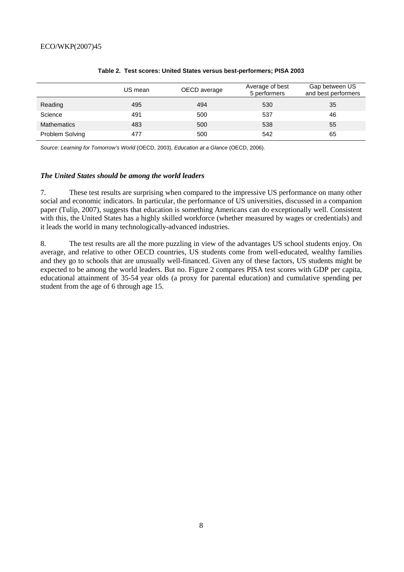|                    | US mean | OECD average | Average of best<br>5 performers | Gap between US<br>and best performers |
|--------------------|---------|--------------|---------------------------------|---------------------------------------|
| Reading            | 495     | 494          | 530                             | 35                                    |
| Science            | 491     | 500          | 537                             | 46                                    |
| <b>Mathematics</b> | 483     | 500          | 538                             | 55                                    |
| Problem Solving    | 477     | 500          | 542                             | 65                                    |

# **Table 2. Test scores: United States versus best-performers; PISA 2003**

*Source*: *Learning for Tomorrow's World* (OECD, 2003), *Education at a Glance* (OECD, 2006).

### *The United States should be among the world leaders*

7. These test results are surprising when compared to the impressive US performance on many other social and economic indicators. In particular, the performance of US universities, discussed in a companion paper (Tulip, 2007), suggests that education is something Americans can do exceptionally well. Consistent with this, the United States has a highly skilled workforce (whether measured by wages or credentials) and it leads the world in many technologically-advanced industries.

8. The test results are all the more puzzling in view of the advantages US school students enjoy. On average, and relative to other OECD countries, US students come from well-educated, wealthy families and they go to schools that are unusually well-financed. Given any of these factors, US students might be expected to be among the world leaders. But no. Figure 2 compares PISA test scores with GDP per capita, educational attainment of 35-54 year olds (a proxy for parental education) and cumulative spending per student from the age of 6 through age 15.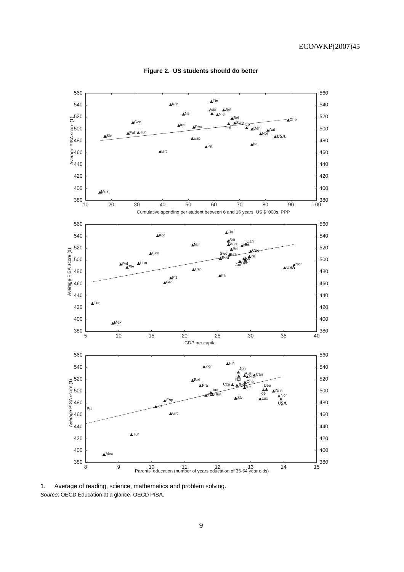

**Figure 2. US students should do better** 

1. Average of reading, science, mathematics and problem solving. *Source*: OECD Education at a glance, OECD PISA.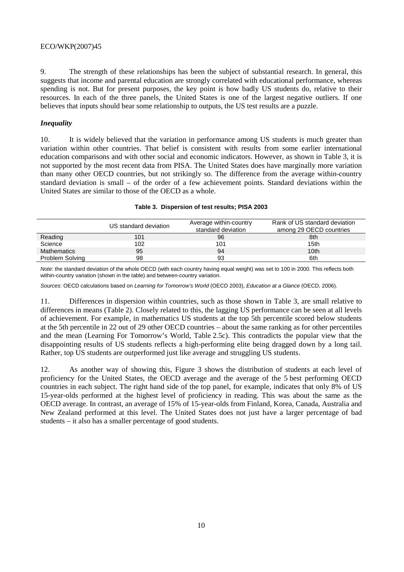9. The strength of these relationships has been the subject of substantial research. In general, this suggests that income and parental education are strongly correlated with educational performance, whereas spending is not. But for present purposes, the key point is how badly US students do, relative to their resources. In each of the three panels, the United States is one of the largest negative outliers. If one believes that inputs should bear some relationship to outputs, the US test results are a puzzle.

# *Inequality*

10. It is widely believed that the variation in performance among US students is much greater than variation within other countries. That belief is consistent with results from some earlier international education comparisons and with other social and economic indicators. However, as shown in Table 3, it is not supported by the most recent data from PISA. The United States does have marginally more variation than many other OECD countries, but not strikingly so. The difference from the average within-country standard deviation is small – of the order of a few achievement points. Standard deviations within the United States are similar to those of the OECD as a whole.

#### **Table 3. Dispersion of test results; PISA 2003**

|                    | US standard deviation | Average within-country<br>standard deviation | Rank of US standard deviation<br>among 29 OECD countries |
|--------------------|-----------------------|----------------------------------------------|----------------------------------------------------------|
| Reading            | 101                   | 96                                           | 8th                                                      |
| Science            | 102                   | 101                                          | 15th                                                     |
| <b>Mathematics</b> | 95                    | 94                                           | 10th                                                     |
| Problem Solving    | 98                    | 93                                           | 6th                                                      |

*Note*: the standard deviation of the whole OECD (with each country having equal weight) was set to 100 in 2000. This reflects both within-country variation (shown in the table) and between-country variation.

*Sources*: OECD calculations based on *Learning for Tomorrow's World* (OECD 2003), *Education at a Glance* (OECD, 2006).

11. Differences in dispersion within countries, such as those shown in Table 3, are small relative to differences in means (Table 2). Closely related to this, the lagging US performance can be seen at all levels of achievement. For example, in mathematics US students at the top 5th percentile scored below students at the 5th percentile in 22 out of 29 other OECD countries – about the same ranking as for other percentiles and the mean (Learning For Tomorrow's World, Table 2.5c). This contradicts the popular view that the disappointing results of US students reflects a high-performing elite being dragged down by a long tail. Rather, top US students are outperformed just like average and struggling US students.

12. As another way of showing this, Figure 3 shows the distribution of students at each level of proficiency for the United States, the OECD average and the average of the 5 best performing OECD countries in each subject. The right hand side of the top panel, for example, indicates that only 8% of US 15-year-olds performed at the highest level of proficiency in reading. This was about the same as the OECD average. In contrast, an average of 15% of 15-year-olds from Finland, Korea, Canada, Australia and New Zealand performed at this level. The United States does not just have a larger percentage of bad students – it also has a smaller percentage of good students.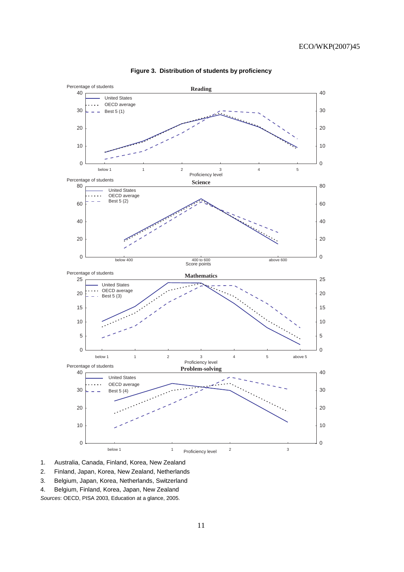

#### **Figure 3. Distribution of students by proficiency**

- 1. Australia, Canada, Finland, Korea, New Zealand
- 2. Finland, Japan, Korea, New Zealand, Netherlands
- 3. Belgium, Japan, Korea, Netherlands, Switzerland

4. Belgium, Finland, Korea, Japan, New Zealand

*Sources*: OECD, PISA 2003, Education at a glance, 2005.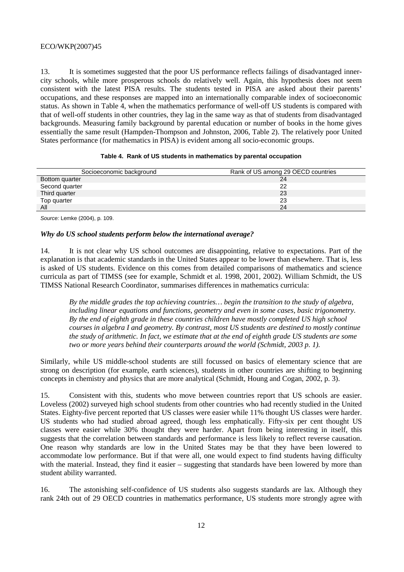13. It is sometimes suggested that the poor US performance reflects failings of disadvantaged innercity schools, while more prosperous schools do relatively well. Again, this hypothesis does not seem consistent with the latest PISA results. The students tested in PISA are asked about their parents' occupations, and these responses are mapped into an internationally comparable index of socioeconomic status. As shown in Table 4, when the mathematics performance of well-off US students is compared with that of well-off students in other countries, they lag in the same way as that of students from disadvantaged backgrounds. Measuring family background by parental education or number of books in the home gives essentially the same result (Hampden-Thompson and Johnston, 2006, Table 2). The relatively poor United States performance (for mathematics in PISA) is evident among all socio-economic groups.

| Socioeconomic background | Rank of US among 29 OECD countries |
|--------------------------|------------------------------------|
| Bottom quarter           | 24                                 |
| Second quarter           | 22                                 |
| Third quarter            | 23                                 |
| Top quarter              | 23                                 |

### **Table 4. Rank of US students in mathematics by parental occupation**

*Source:* Lemke (2004), p. 109.

# *Why do US school students perform below the international average?*

All 24

14. It is not clear why US school outcomes are disappointing, relative to expectations. Part of the explanation is that academic standards in the United States appear to be lower than elsewhere. That is, less is asked of US students. Evidence on this comes from detailed comparisons of mathematics and science curricula as part of TIMSS (see for example, Schmidt et al. 1998, 2001, 2002). William Schmidt, the US TIMSS National Research Coordinator, summarises differences in mathematics curricula:

*By the middle grades the top achieving countries… begin the transition to the study of algebra, including linear equations and functions, geometry and even in some cases, basic trigonometry. By the end of eighth grade in these countries children have mostly completed US high school courses in algebra I and geometry. By contrast, most US students are destined to mostly continue the study of arithmetic. In fact, we estimate that at the end of eighth grade US students are some two or more years behind their counterparts around the world (Schmidt, 2003 p. 1).* 

Similarly, while US middle-school students are still focussed on basics of elementary science that are strong on description (for example, earth sciences), students in other countries are shifting to beginning concepts in chemistry and physics that are more analytical (Schmidt, Houng and Cogan, 2002, p. 3).

15. Consistent with this, students who move between countries report that US schools are easier. Loveless (2002) surveyed high school students from other countries who had recently studied in the United States. Eighty-five percent reported that US classes were easier while 11% thought US classes were harder. US students who had studied abroad agreed, though less emphatically. Fifty-six per cent thought US classes were easier while 30% thought they were harder. Apart from being interesting in itself, this suggests that the correlation between standards and performance is less likely to reflect reverse causation. One reason why standards are low in the United States may be that they have been lowered to accommodate low performance. But if that were all, one would expect to find students having difficulty with the material. Instead, they find it easier – suggesting that standards have been lowered by more than student ability warranted.

16. The astonishing self-confidence of US students also suggests standards are lax. Although they rank 24th out of 29 OECD countries in mathematics performance, US students more strongly agree with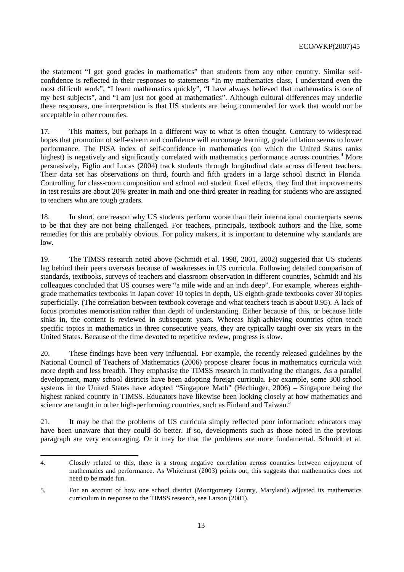the statement "I get good grades in mathematics" than students from any other country. Similar selfconfidence is reflected in their responses to statements "In my mathematics class, I understand even the most difficult work", "I learn mathematics quickly", "I have always believed that mathematics is one of my best subjects", and "I am just not good at mathematics". Although cultural differences may underlie these responses, one interpretation is that US students are being commended for work that would not be acceptable in other countries.

17. This matters, but perhaps in a different way to what is often thought. Contrary to widespread hopes that promotion of self-esteem and confidence will encourage learning, grade inflation seems to lower performance. The PISA index of self-confidence in mathematics (on which the United States ranks highest) is negatively and significantly correlated with mathematics performance across countries.<sup>4</sup> More persuasively, Figlio and Lucas (2004) track students through longitudinal data across different teachers. Their data set has observations on third, fourth and fifth graders in a large school district in Florida. Controlling for class-room composition and school and student fixed effects, they find that improvements in test results are about 20% greater in math and one-third greater in reading for students who are assigned to teachers who are tough graders.

18. In short, one reason why US students perform worse than their international counterparts seems to be that they are not being challenged. For teachers, principals, textbook authors and the like, some remedies for this are probably obvious. For policy makers, it is important to determine why standards are low.

19. The TIMSS research noted above (Schmidt et al. 1998, 2001, 2002) suggested that US students lag behind their peers overseas because of weaknesses in US curricula. Following detailed comparison of standards, textbooks, surveys of teachers and classroom observation in different countries, Schmidt and his colleagues concluded that US courses were "a mile wide and an inch deep". For example, whereas eighthgrade mathematics textbooks in Japan cover 10 topics in depth, US eighth-grade textbooks cover 30 topics superficially. (The correlation between textbook coverage and what teachers teach is about 0.95). A lack of focus promotes memorisation rather than depth of understanding. Either because of this, or because little sinks in, the content is reviewed in subsequent years. Whereas high-achieving countries often teach specific topics in mathematics in three consecutive years, they are typically taught over six years in the United States. Because of the time devoted to repetitive review, progress is slow.

20. These findings have been very influential. For example, the recently released guidelines by the National Council of Teachers of Mathematics (2006) propose clearer focus in mathematics curricula with more depth and less breadth. They emphasise the TIMSS research in motivating the changes. As a parallel development, many school districts have been adopting foreign curricula. For example, some 300 school systems in the United States have adopted "Singapore Math" (Hechinger, 2006) – Singapore being the highest ranked country in TIMSS. Educators have likewise been looking closely at how mathematics and science are taught in other high-performing countries, such as Finland and Taiwan.<sup>5</sup>

21. It may be that the problems of US curricula simply reflected poor information: educators may have been unaware that they could do better. If so, developments such as those noted in the previous paragraph are very encouraging. Or it may be that the problems are more fundamental. Schmidt et al.

 $\overline{a}$ 4. Closely related to this, there is a strong negative correlation across countries between enjoyment of mathematics and performance. As Whitehurst (2003) points out, this suggests that mathematics does not need to be made fun.

<sup>5.</sup> For an account of how one school district (Montgomery County, Maryland) adjusted its mathematics curriculum in response to the TIMSS research, see Larson (2001).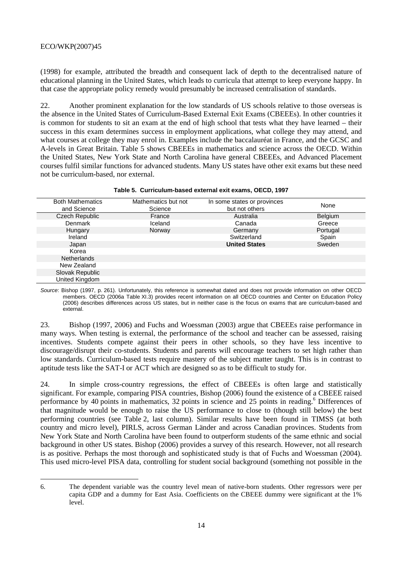(1998) for example, attributed the breadth and consequent lack of depth to the decentralised nature of educational planning in the United States, which leads to curricula that attempt to keep everyone happy. In that case the appropriate policy remedy would presumably be increased centralisation of standards.

22. Another prominent explanation for the low standards of US schools relative to those overseas is the absence in the United States of Curriculum-Based External Exit Exams (CBEEEs). In other countries it is common for students to sit an exam at the end of high school that tests what they have learned – their success in this exam determines success in employment applications, what college they may attend, and what courses at college they may enrol in. Examples include the baccalauréat in France, and the GCSC and A-levels in Great Britain. Table 5 shows CBEEEs in mathematics and science across the OECD. Within the United States, New York State and North Carolina have general CBEEEs, and Advanced Placement courses fulfil similar functions for advanced students. Many US states have other exit exams but these need not be curriculum-based, nor external.

| <b>Both Mathematics</b><br>and Science | Mathematics but not<br>Science | In some states or provinces<br>but not others | None     |
|----------------------------------------|--------------------------------|-----------------------------------------------|----------|
| Czech Republic                         | France                         | Australia                                     | Belgium  |
| Denmark                                | Iceland                        | Canada                                        | Greece   |
| Hungary                                | Norway                         | Germany                                       | Portugal |
| Ireland                                |                                | Switzerland                                   | Spain    |
| Japan                                  |                                | <b>United States</b>                          | Sweden   |
| Korea                                  |                                |                                               |          |
| <b>Netherlands</b>                     |                                |                                               |          |
| New Zealand                            |                                |                                               |          |
| Slovak Republic                        |                                |                                               |          |
| United Kingdom                         |                                |                                               |          |

|  | Table 5. Curriculum-based external exit exams, OECD, 1997 |  |  |  |  |
|--|-----------------------------------------------------------|--|--|--|--|
|--|-----------------------------------------------------------|--|--|--|--|

*Source*: Bishop (1997, p. 261). Unfortunately, this reference is somewhat dated and does not provide information on other OECD members. OECD (2006a Table XI.3) provides recent information on all OECD countries and Center on Education Policy (2006) describes differences across US states, but in neither case is the focus on exams that are curriculum-based and external.

23. Bishop (1997, 2006) and Fuchs and Woessman (2003) argue that CBEEEs raise performance in many ways. When testing is external, the performance of the school and teacher can be assessed, raising incentives. Students compete against their peers in other schools, so they have less incentive to discourage/disrupt their co-students. Students and parents will encourage teachers to set high rather than low standards. Curriculum-based tests require mastery of the subject matter taught. This is in contrast to aptitude tests like the SAT-I or ACT which are designed so as to be difficult to study for.

24. In simple cross-country regressions, the effect of CBEEEs is often large and statistically significant. For example, comparing PISA countries, Bishop (2006) found the existence of a CBEEE raised performance by 40 points in mathematics, 32 points in science and 25 points in reading.<sup>6</sup> Differences of that magnitude would be enough to raise the US performance to close to (though still below) the best performing countries (see Table 2, last column). Similar results have been found in TIMSS (at both country and micro level), PIRLS, across German Länder and across Canadian provinces. Students from New York State and North Carolina have been found to outperform students of the same ethnic and social background in other US states. Bishop (2006) provides a survey of this research. However, not all research is as positive. Perhaps the most thorough and sophisticated study is that of Fuchs and Woessman (2004). This used micro-level PISA data, controlling for student social background (something not possible in the

 $\overline{a}$ 

<sup>6.</sup> The dependent variable was the country level mean of native-born students. Other regressors were per capita GDP and a dummy for East Asia. Coefficients on the CBEEE dummy were significant at the 1% level.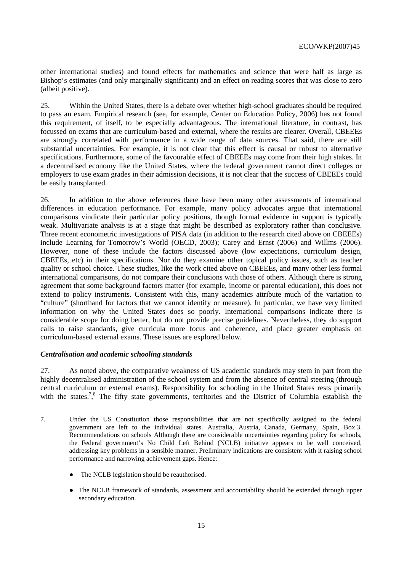other international studies) and found effects for mathematics and science that were half as large as Bishop's estimates (and only marginally significant) and an effect on reading scores that was close to zero (albeit positive).

25. Within the United States, there is a debate over whether high-school graduates should be required to pass an exam. Empirical research (see, for example, Center on Education Policy, 2006) has not found this requirement, of itself, to be especially advantageous. The international literature, in contrast, has focussed on exams that are curriculum-based and external, where the results are clearer. Overall, CBEEEs are strongly correlated with performance in a wide range of data sources. That said, there are still substantial uncertainties. For example, it is not clear that this effect is causal or robust to alternative specifications. Furthermore, some of the favourable effect of CBEEEs may come from their high stakes. In a decentralised economy like the United States, where the federal government cannot direct colleges or employers to use exam grades in their admission decisions, it is not clear that the success of CBEEEs could be easily transplanted.

26. In addition to the above references there have been many other assessments of international differences in education performance. For example, many policy advocates argue that international comparisons vindicate their particular policy positions, though formal evidence in support is typically weak. Multivariate analysis is at a stage that might be described as exploratory rather than conclusive. Three recent econometric investigations of PISA data (in addition to the research cited above on CBEEEs) include Learning for Tomorrow's World (OECD, 2003); Carey and Ernst (2006) and Willms (2006). However, none of these include the factors discussed above (low expectations, curriculum design, CBEEEs, etc) in their specifications. Nor do they examine other topical policy issues, such as teacher quality or school choice. These studies, like the work cited above on CBEEEs, and many other less formal international comparisons, do not compare their conclusions with those of others. Although there is strong agreement that some background factors matter (for example, income or parental education), this does not extend to policy instruments. Consistent with this, many academics attribute much of the variation to "culture" (shorthand for factors that we cannot identify or measure). In particular, we have very limited information on why the United States does so poorly. International comparisons indicate there is considerable scope for doing better, but do not provide precise guidelines. Nevertheless, they do support calls to raise standards, give curricula more focus and coherence, and place greater emphasis on curriculum-based external exams. These issues are explored below.

# *Centralisation and academic schooling standards*

27. As noted above, the comparative weakness of US academic standards may stem in part from the highly decentralised administration of the school system and from the absence of central steering (through central curriculum or external exams). Responsibility for schooling in the United States rests primarily with the states.<sup>7,8</sup> The fifty state governments, territories and the District of Columbia establish the

- The NCLB legislation should be reauthorised.
- The NCLB framework of standards, assessment and accountability should be extended through upper secondary education.

 $\overline{a}$ 7. Under the US Constitution those responsibilities that are not specifically assigned to the federal government are left to the individual states. Australia, Austria, Canada, Germany, Spain, Box 3. Recommendations on schools Although there are considerable uncertainties regarding policy for schools, the Federal government's No Child Left Behind (NCLB) initiative appears to be well conceived, addressing key problems in a sensible manner. Preliminary indications are consistent with it raising school performance and narrowing achievement gaps. Hence: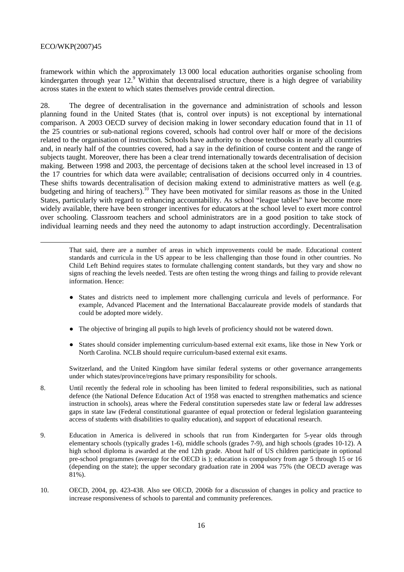-

framework within which the approximately 13 000 local education authorities organise schooling from kindergarten through year  $12.^9$  Within that decentralised structure, there is a high degree of variability across states in the extent to which states themselves provide central direction.

28. The degree of decentralisation in the governance and administration of schools and lesson planning found in the United States (that is, control over inputs) is not exceptional by international comparison. A 2003 OECD survey of decision making in lower secondary education found that in 11 of the 25 countries or sub-national regions covered, schools had control over half or more of the decisions related to the organisation of instruction. Schools have authority to choose textbooks in nearly all countries and, in nearly half of the countries covered, had a say in the definition of course content and the range of subjects taught. Moreover, there has been a clear trend internationally towards decentralisation of decision making. Between 1998 and 2003, the percentage of decisions taken at the school level increased in 13 of the 17 countries for which data were available; centralisation of decisions occurred only in 4 countries. These shifts towards decentralisation of decision making extend to administrative matters as well (e.g. budgeting and hiring of teachers).<sup>10</sup> They have been motivated for similar reasons as those in the United States, particularly with regard to enhancing accountability. As school "league tables" have become more widely available, there have been stronger incentives for educators at the school level to exert more control over schooling. Classroom teachers and school administrators are in a good position to take stock of individual learning needs and they need the autonomy to adapt instruction accordingly. Decentralisation

 That said, there are a number of areas in which improvements could be made. Educational content standards and curricula in the US appear to be less challenging than those found in other countries. No Child Left Behind requires states to formulate challenging content standards, but they vary and show no signs of reaching the levels needed. Tests are often testing the wrong things and failing to provide relevant information. Hence:

- States and districts need to implement more challenging curricula and levels of performance. For example, Advanced Placement and the International Baccalaureate provide models of standards that could be adopted more widely.
- The objective of bringing all pupils to high levels of proficiency should not be watered down.
- States should consider implementing curriculum-based external exit exams, like those in New York or North Carolina. NCLB should require curriculum-based external exit exams.

 Switzerland, and the United Kingdom have similar federal systems or other governance arrangements under which states/province/regions have primary responsibility for schools.

- 8. Until recently the federal role in schooling has been limited to federal responsibilities, such as national defence (the National Defence Education Act of 1958 was enacted to strengthen mathematics and science instruction in schools), areas where the Federal constitution supersedes state law or federal law addresses gaps in state law (Federal constitutional guarantee of equal protection or federal legislation guaranteeing access of students with disabilities to quality education), and support of educational research.
- 9. Education in America is delivered in schools that run from Kindergarten for 5-year olds through elementary schools (typically grades 1-6), middle schools (grades 7-9), and high schools (grades 10-12). A high school diploma is awarded at the end 12th grade. About half of US children participate in optional pre-school programmes (average for the OECD is ); education is compulsory from age 5 through 15 or 16 (depending on the state); the upper secondary graduation rate in 2004 was 75% (the OECD average was 81%).
- 10. OECD, 2004, pp. 423-438. Also see OECD, 2006b for a discussion of changes in policy and practice to increase responsiveness of schools to parental and community preferences.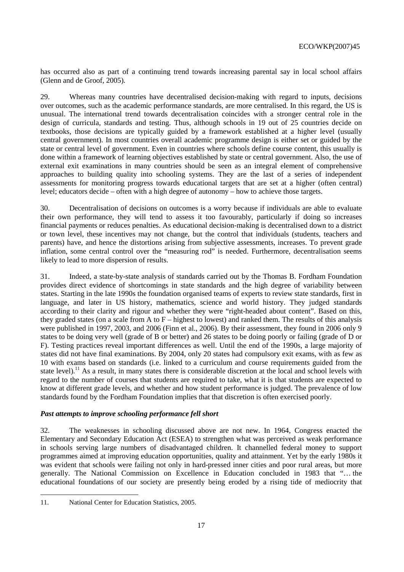has occurred also as part of a continuing trend towards increasing parental say in local school affairs (Glenn and de Groof, 2005).

29. Whereas many countries have decentralised decision-making with regard to inputs, decisions over outcomes, such as the academic performance standards, are more centralised. In this regard, the US is unusual. The international trend towards decentralisation coincides with a stronger central role in the design of curricula, standards and testing. Thus, although schools in 19 out of 25 countries decide on textbooks, those decisions are typically guided by a framework established at a higher level (usually central government). In most countries overall academic programme design is either set or guided by the state or central level of government. Even in countries where schools define course content, this usually is done within a framework of learning objectives established by state or central government. Also, the use of external exit examinations in many countries should be seen as an integral element of comprehensive approaches to building quality into schooling systems. They are the last of a series of independent assessments for monitoring progress towards educational targets that are set at a higher (often central) level; educators decide – often with a high degree of autonomy – how to achieve those targets.

30. Decentralisation of decisions on outcomes is a worry because if individuals are able to evaluate their own performance, they will tend to assess it too favourably, particularly if doing so increases financial payments or reduces penalties. As educational decision-making is decentralised down to a district or town level, these incentives may not change, but the control that individuals (students, teachers and parents) have, and hence the distortions arising from subjective assessments, increases. To prevent grade inflation, some central control over the "measuring rod" is needed. Furthermore, decentralisation seems likely to lead to more dispersion of results.

31. Indeed, a state-by-state analysis of standards carried out by the Thomas B. Fordham Foundation provides direct evidence of shortcomings in state standards and the high degree of variability between states. Starting in the late 1990s the foundation organised teams of experts to review state standards, first in language, and later in US history, mathematics, science and world history. They judged standards according to their clarity and rigour and whether they were "right-headed about content". Based on this, they graded states (on a scale from A to  $F$  – highest to lowest) and ranked them. The results of this analysis were published in 1997, 2003, and 2006 (Finn et al., 2006). By their assessment, they found in 2006 only 9 states to be doing very well (grade of B or better) and 26 states to be doing poorly or failing (grade of D or F). Testing practices reveal important differences as well. Until the end of the 1990s, a large majority of states did not have final examinations. By 2004, only 20 states had compulsory exit exams, with as few as 10 with exams based on standards (i.e. linked to a curriculum and course requirements guided from the state level).<sup>11</sup> As a result, in many states there is considerable discretion at the local and school levels with regard to the number of courses that students are required to take, what it is that students are expected to know at different grade levels, and whether and how student performance is judged. The prevalence of low standards found by the Fordham Foundation implies that that discretion is often exercised poorly.

### *Past attempts to improve schooling performance fell short*

32. The weaknesses in schooling discussed above are not new. In 1964, Congress enacted the Elementary and Secondary Education Act (ESEA) to strengthen what was perceived as weak performance in schools serving large numbers of disadvantaged children. It channelled federal money to support programmes aimed at improving education opportunities, quality and attainment. Yet by the early 1980s it was evident that schools were failing not only in hard-pressed inner cities and poor rural areas, but more generally. The National Commission on Excellence in Education concluded in 1983 that "… the educational foundations of our society are presently being eroded by a rising tide of mediocrity that

 $\overline{a}$ 

<sup>11.</sup> National Center for Education Statistics, 2005.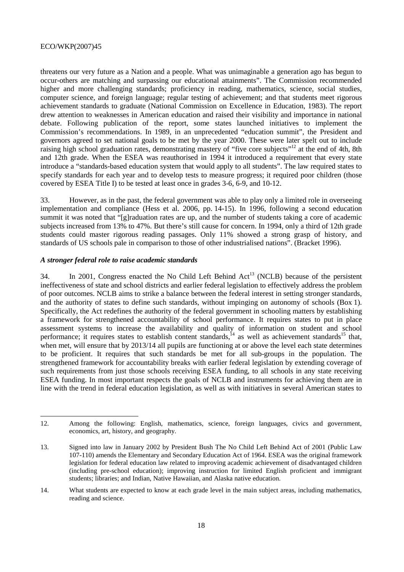threatens our very future as a Nation and a people. What was unimaginable a generation ago has begun to occur-others are matching and surpassing our educational attainments". The Commission recommended higher and more challenging standards; proficiency in reading, mathematics, science, social studies, computer science, and foreign language; regular testing of achievement; and that students meet rigorous achievement standards to graduate (National Commission on Excellence in Education, 1983). The report drew attention to weaknesses in American education and raised their visibility and importance in national debate. Following publication of the report, some states launched initiatives to implement the Commission's recommendations. In 1989, in an unprecedented "education summit", the President and governors agreed to set national goals to be met by the year 2000. These were later spelt out to include raising high school graduation rates, demonstrating mastery of "five core subjects"<sup>12</sup> at the end of 4th, 8th and 12th grade. When the ESEA was reauthorised in 1994 it introduced a requirement that every state introduce a "standards-based education system that would apply to all students". The law required states to specify standards for each year and to develop tests to measure progress; it required poor children (those covered by ESEA Title I) to be tested at least once in grades 3-6, 6-9, and 10-12.

33. However, as in the past, the federal government was able to play only a limited role in overseeing implementation and compliance (Hess et al. 2006, pp. 14-15). In 1996, following a second education summit it was noted that "[g]raduation rates are up, and the number of students taking a core of academic subjects increased from 13% to 47%. But there's still cause for concern. In 1994, only a third of 12th grade students could master rigorous reading passages. Only 11% showed a strong grasp of history, and standards of US schools pale in comparison to those of other industrialised nations". (Bracket 1996).

# *A stronger federal role to raise academic standards*

34. In 2001, Congress enacted the No Child Left Behind Act<sup>13</sup> (NCLB) because of the persistent ineffectiveness of state and school districts and earlier federal legislation to effectively address the problem of poor outcomes. NCLB aims to strike a balance between the federal interest in setting stronger standards, and the authority of states to define such standards, without impinging on autonomy of schools (Box 1). Specifically, the Act redefines the authority of the federal government in schooling matters by establishing a framework for strengthened accountability of school performance. It requires states to put in place assessment systems to increase the availability and quality of information on student and school performance; it requires states to establish content standards, $14$  as well as achievement standards<sup>15</sup> that, when met, will ensure that by 2013/14 all pupils are functioning at or above the level each state determines to be proficient. It requires that such standards be met for all sub-groups in the population. The strengthened framework for accountability breaks with earlier federal legislation by extending coverage of such requirements from just those schools receiving ESEA funding, to all schools in any state receiving ESEA funding. In most important respects the goals of NCLB and instruments for achieving them are in line with the trend in federal education legislation, as well as with initiatives in several American states to

 $\overline{a}$ 12. Among the following: English, mathematics, science, foreign languages, civics and government, economics, art, history, and geography.

<sup>13.</sup> Signed into law in January 2002 by President Bush The No Child Left Behind Act of 2001 (Public Law 107-110) amends the Elementary and Secondary Education Act of 1964. ESEA was the original framework legislation for federal education law related to improving academic achievement of disadvantaged children (including pre-school education); improving instruction for limited English proficient and immigrant students; libraries; and Indian, Native Hawaiian, and Alaska native education.

<sup>14.</sup> What students are expected to know at each grade level in the main subject areas, including mathematics, reading and science.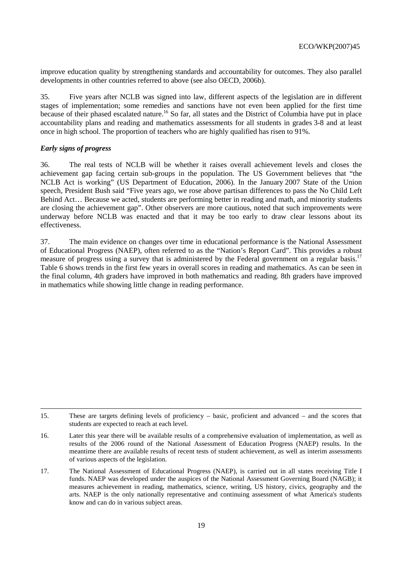improve education quality by strengthening standards and accountability for outcomes. They also parallel developments in other countries referred to above (see also OECD, 2006b).

35. Five years after NCLB was signed into law, different aspects of the legislation are in different stages of implementation; some remedies and sanctions have not even been applied for the first time because of their phased escalated nature.<sup>16</sup> So far, all states and the District of Columbia have put in place accountability plans and reading and mathematics assessments for all students in grades 3-8 and at least once in high school. The proportion of teachers who are highly qualified has risen to 91%.

# *Early signs of progress*

-

36. The real tests of NCLB will be whether it raises overall achievement levels and closes the achievement gap facing certain sub-groups in the population. The US Government believes that "the NCLB Act is working" (US Department of Education, 2006). In the January 2007 State of the Union speech, President Bush said "Five years ago, we rose above partisan differences to pass the No Child Left Behind Act… Because we acted, students are performing better in reading and math, and minority students are closing the achievement gap". Other observers are more cautious, noted that such improvements were underway before NCLB was enacted and that it may be too early to draw clear lessons about its effectiveness.

37. The main evidence on changes over time in educational performance is the National Assessment of Educational Progress (NAEP), often referred to as the "Nation's Report Card". This provides a robust measure of progress using a survey that is administered by the Federal government on a regular basis.<sup>17</sup> Table 6 shows trends in the first few years in overall scores in reading and mathematics. As can be seen in the final column, 4th graders have improved in both mathematics and reading. 8th graders have improved in mathematics while showing little change in reading performance.

<sup>15.</sup> These are targets defining levels of proficiency – basic, proficient and advanced – and the scores that students are expected to reach at each level.

<sup>16.</sup> Later this year there will be available results of a comprehensive evaluation of implementation, as well as results of the 2006 round of the National Assessment of Education Progress (NAEP) results. In the meantime there are available results of recent tests of student achievement, as well as interim assessments of various aspects of the legislation.

<sup>17.</sup> The National Assessment of Educational Progress (NAEP), is carried out in all states receiving Title I funds. NAEP was developed under the auspices of the National Assessment Governing Board (NAGB); it measures achievement in reading, mathematics, science, writing, US history, civics, geography and the arts. NAEP is the only nationally representative and continuing assessment of what America's students know and can do in various subject areas.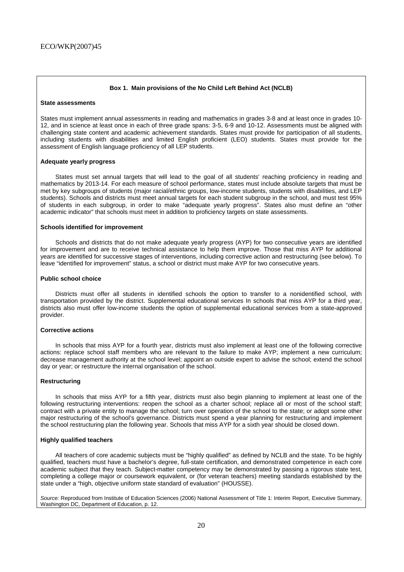#### **Box 1. Main provisions of the No Child Left Behind Act (NCLB)**

#### **State assessments**

States must implement annual assessments in reading and mathematics in grades 3-8 and at least once in grades 10- 12, and in science at least once in each of three grade spans: 3-5, 6-9 and 10-12. Assessments must be aligned with challenging state content and academic achievement standards. States must provide for participation of all students, including students with disabilities and limited English proficient (LEO) students. States must provide for the assessment of English language proficiency of all LEP students.

#### **Adequate yearly progress**

States must set annual targets that will lead to the goal of all students' reaching proficiency in reading and mathematics by 2013-14. For each measure of school performance, states must include absolute targets that must be met by key subgroups of students (major racial/ethnic groups, low-income students, students with disabilities, and LEP students). Schools and districts must meet annual targets for each student subgroup in the school, and must test 95% of students in each subgroup, in order to make "adequate yearly progress". States also must define an "other academic indicator" that schools must meet in addition to proficiency targets on state assessments.

#### **Schools identified for improvement**

Schools and districts that do not make adequate yearly progress (AYP) for two consecutive years are identified for improvement and are to receive technical assistance to help them improve. Those that miss AYP for additional years are identified for successive stages of interventions, including corrective action and restructuring (see below). To leave "identified for improvement" status, a school or district must make AYP for two consecutive years.

#### **Public school choice**

Districts must offer all students in identified schools the option to transfer to a nonidentified school, with transportation provided by the district. Supplemental educational services In schools that miss AYP for a third year, districts also must offer low-income students the option of supplemental educational services from a state-approved provider.

#### **Corrective actions**

In schools that miss AYP for a fourth year, districts must also implement at least one of the following corrective actions: replace school staff members who are relevant to the failure to make AYP; implement a new curriculum; decrease management authority at the school level; appoint an outside expert to advise the school; extend the school day or year; or restructure the internal organisation of the school.

#### **Restructuring**

In schools that miss AYP for a fifth year, districts must also begin planning to implement at least one of the following restructuring interventions: reopen the school as a charter school; replace all or most of the school staff; contract with a private entity to manage the school; turn over operation of the school to the state; or adopt some other major restructuring of the school's governance. Districts must spend a year planning for restructuring and implement the school restructuring plan the following year. Schools that miss AYP for a sixth year should be closed down.

#### **Highly qualified teachers**

All teachers of core academic subjects must be "highly qualified" as defined by NCLB and the state. To be highly qualified, teachers must have a bachelor's degree, full-state certification, and demonstrated competence in each core academic subject that they teach. Subject-matter competency may be demonstrated by passing a rigorous state test, completing a college major or coursework equivalent, or (for veteran teachers) meeting standards established by the state under a "high, objective uniform state standard of evaluation" (HOUSSE).

*Source:* Reproduced from Institute of Education Sciences (2006) National Assessment of Title 1: Interim Report, Executive Summary, Washington DC, Department of Education, p. 12.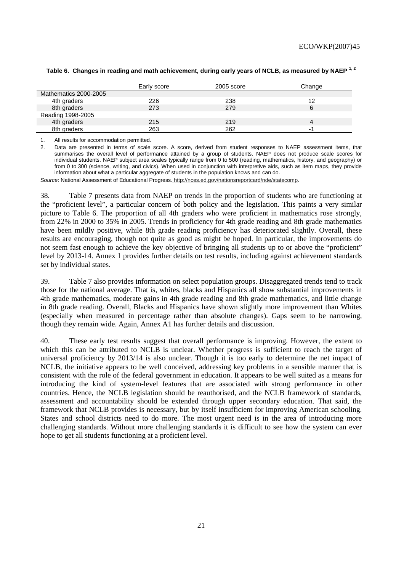|                       | Early score | 2005 score | Change |
|-----------------------|-------------|------------|--------|
| Mathematics 2000-2005 |             |            |        |
| 4th graders           | 226         | 238        |        |
| 8th graders           | 273         | 279        | 6      |
| Reading 1998-2005     |             |            |        |
| 4th graders           | 215         | 219        | 4      |
| 8th graders           | 263         | 262        | -      |

# **Table 6. Changes in reading and math achievement, during early years of NCLB, as measured by NAEP 1, 2**

1. All results for accommodation permitted.

2. Data are presented in terms of scale score. A score, derived from student responses to NAEP assessment items, that summarises the overall level of performance attained by a group of students. NAEP does not produce scale scores for individual students. NAEP subject area scales typically range from 0 to 500 (reading, mathematics, history, and geography) or from 0 to 300 (science, writing, and civics). When used in conjunction with interpretive aids, such as item maps, they provide information about what a particular aggregate of students in the population knows and can do.

*Source*: National Assessment of Educational Progress. http://nces.ed.gov/nationsreportcard/nde/statecomp.

38. Table 7 presents data from NAEP on trends in the proportion of students who are functioning at the "proficient level", a particular concern of both policy and the legislation. This paints a very similar picture to Table 6. The proportion of all 4th graders who were proficient in mathematics rose strongly, from 22% in 2000 to 35% in 2005. Trends in proficiency for 4th grade reading and 8th grade mathematics have been mildly positive, while 8th grade reading proficiency has deteriorated slightly. Overall, these results are encouraging, though not quite as good as might be hoped. In particular, the improvements do not seem fast enough to achieve the key objective of bringing all students up to or above the "proficient" level by 2013-14. Annex 1 provides further details on test results, including against achievement standards set by individual states.

39. Table 7 also provides information on select population groups. Disaggregated trends tend to track those for the national average. That is, whites, blacks and Hispanics all show substantial improvements in 4th grade mathematics, moderate gains in 4th grade reading and 8th grade mathematics, and little change in 8th grade reading. Overall, Blacks and Hispanics have shown slightly more improvement than Whites (especially when measured in percentage rather than absolute changes). Gaps seem to be narrowing, though they remain wide. Again, Annex A1 has further details and discussion.

40. These early test results suggest that overall performance is improving. However, the extent to which this can be attributed to NCLB is unclear. Whether progress is sufficient to reach the target of universal proficiency by 2013/14 is also unclear. Though it is too early to determine the net impact of NCLB, the initiative appears to be well conceived, addressing key problems in a sensible manner that is consistent with the role of the federal government in education. It appears to be well suited as a means for introducing the kind of system-level features that are associated with strong performance in other countries. Hence, the NCLB legislation should be reauthorised, and the NCLB framework of standards, assessment and accountability should be extended through upper secondary education. That said, the framework that NCLB provides is necessary, but by itself insufficient for improving American schooling. States and school districts need to do more. The most urgent need is in the area of introducing more challenging standards. Without more challenging standards it is difficult to see how the system can ever hope to get all students functioning at a proficient level.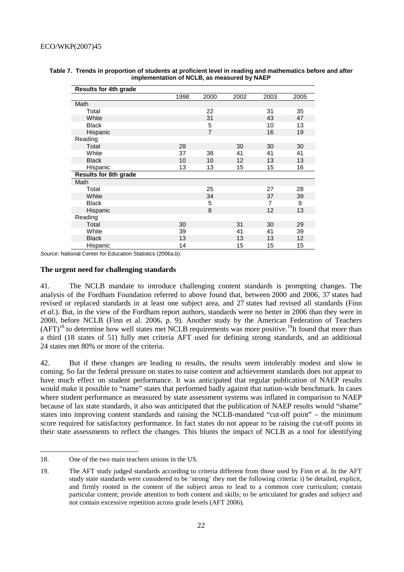| <b>Results for 4th grade</b> |      |                |      |      |      |
|------------------------------|------|----------------|------|------|------|
|                              | 1998 | 2000           | 2002 | 2003 | 2005 |
| Math                         |      |                |      |      |      |
| Total                        |      | 22             |      | 31   | 35   |
| White                        |      | 31             |      | 43   | 47   |
| <b>Black</b>                 |      | 5              |      | 10   | 13   |
| Hispanic                     |      | $\overline{7}$ |      | 16   | 19   |
| Reading                      |      |                |      |      |      |
| Total                        | 28   |                | 30   | 30   | 30   |
| White                        | 37   | 38             | 41   | 41   | 41   |
| <b>Black</b>                 | 10   | 10             | 12   | 13   | 13   |
| Hispanic                     | 13   | 13             | 15   | 15   | 16   |
| <b>Results for 8th grade</b> |      |                |      |      |      |
| Math                         |      |                |      |      |      |
| Total                        |      | 25             |      | 27   | 28   |
| White                        |      | 34             |      | 37   | 39   |
| <b>Black</b>                 |      | 5              |      | 7    | 9    |
| Hispanic                     |      | 8              |      | 12   | 13   |
| Reading                      |      |                |      |      |      |
| Total                        | 30   |                | 31   | 30   | 29   |
| White                        | 39   |                | 41   | 41   | 39   |
| <b>Black</b>                 | 13   |                | 13   | 13   | 12   |
| Hispanic                     | 14   |                | 15   | 15   | 15   |

#### **Table 7. Trends in proportion of students at proficient level in reading and mathematics before and after implementation of NCLB, as measured by NAEP**

*Source*: National Center for Education Statistics (2006a,b).

#### **The urgent need for challenging standards**

41. The NCLB mandate to introduce challenging content standards is prompting changes. The analysis of the Fordham Foundation referred to above found that, between 2000 and 2006, 37 states had revised or replaced standards in at least one subject area, and 27 states had revised all standards (Finn *et al*.). But, in the view of the Fordham report authors, standards were no better in 2006 than they were in 2000, before NCLB (Finn et al. 2006, p. 9). Another study by the American Federation of Teachers  $(AFT)^{18}$  to determine how well states met NCLB requirements was more positive.<sup>19</sup>It found that more than a third (18 states of 51) fully met criteria AFT used for defining strong standards, and an additional 24 states met 80% or more of the criteria.

42. But if these changes are leading to results, the results seem intolerably modest and slow in coming. So far the federal pressure on states to raise content and achievement standards does not appear to have much effect on student performance. It was anticipated that regular publication of NAEP results would make it possible to "name" states that performed badly against that nation-wide benchmark. In cases where student performance as measured by state assessment systems was inflated in comparison to NAEP because of lax state standards, it also was anticipated that the publication of NAEP results would "shame" states into improving content standards and raising the NCLB-mandated "cut-off point" – the minimum score required for satisfactory performance. In fact states do not appear to be raising the cut-off points in their state assessments to reflect the changes. This blunts the impact of NCLB as a tool for identifying

 $\overline{a}$ 

<sup>18.</sup> One of the two main teachers unions in the US.

<sup>19.</sup> The AFT study judged standards according to criteria different from those used by Finn et al. In the AFT study state standards were considered to be 'strong' they met the following criteria: i) be detailed, explicit, and firmly rooted in the content of the subject areas to lead to a common core curriculum; contain particular content; provide attention to both content and skills; to be articulated for grades and subject and not contain excessive repetition across grade levels (AFT 2006).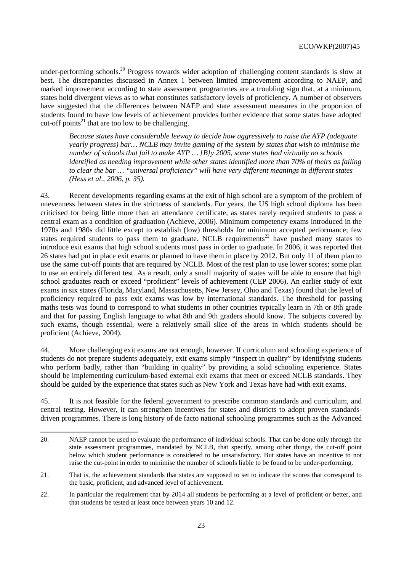under-performing schools.<sup>20</sup> Progress towards wider adoption of challenging content standards is slow at best. The discrepancies discussed in Annex 1 between limited improvement according to NAEP, and marked improvement according to state assessment programmes are a troubling sign that, at a minimum, states hold divergent views as to what constitutes satisfactory levels of proficiency. A number of observers have suggested that the differences between NAEP and state assessment measures in the proportion of students found to have low levels of achievement provides further evidence that some states have adopted cut-off points<sup>21</sup> that are too low to be challenging.

*Because states have considerable leeway to decide how aggressively to raise the AYP (adequate yearly progress) bar… NCLB may invite gaming of the system by states that wish to minimise the number of schools that fail to make AYP … [B]y 2005, some states had virtually no schools identified as needing improvement while other states identified more than 70% of theirs as failing to clear the bar … "universal proficiency" will have very different meanings in different states (Hess et al., 2006, p. 35).* 

43. Recent developments regarding exams at the exit of high school are a symptom of the problem of unevenness between states in the strictness of standards. For years, the US high school diploma has been criticised for being little more than an attendance certificate, as states rarely required students to pass a central exam as a condition of graduation (Achieve, 2006). Minimum competency exams introduced in the 1970s and 1980s did little except to establish (low) thresholds for minimum accepted performance; few states required students to pass them to graduate. NCLB requirements<sup>22</sup> have pushed many states to introduce exit exams that high school students must pass in order to graduate. In 2006, it was reported that 26 states had put in place exit exams or planned to have them in place by 2012. But only 11 of them plan to use the same cut-off points that are required by NCLB. Most of the rest plan to use lower scores; some plan to use an entirely different test. As a result, only a small majority of states will be able to ensure that high school graduates reach or exceed "proficient" levels of achievement (CEP 2006). An earlier study of exit exams in six states (Florida, Maryland, Massachusetts, New Jersey, Ohio and Texas) found that the level of proficiency required to pass exit exams was low by international standards. The threshold for passing maths tests was found to correspond to what students in other countries typically learn in 7th or 8th grade and that for passing English language to what 8th and 9th graders should know. The subjects covered by such exams, though essential, were a relatively small slice of the areas in which students should be proficient (Achieve, 2004).

44. More challenging exit exams are not enough, however. If curriculum and schooling experience of students do not prepare students adequately, exit exams simply "inspect in quality" by identifying students who perform badly, rather than "building in quality" by providing a solid schooling experience. States should be implementing curriculum-based external exit exams that meet or exceed NCLB standards. They should be guided by the experience that states such as New York and Texas have had with exit exams.

45. It is not feasible for the federal government to prescribe common standards and curriculum, and central testing. However, it can strengthen incentives for states and districts to adopt proven standardsdriven programmes. There is long history of de facto national schooling programmes such as the Advanced

 $\overline{a}$ 

<sup>20.</sup> NAEP cannot be used to evaluate the performance of individual schools. That can be done only through the state assessment programmes, mandated by NCLB, that specify, among other things, the cut-off point below which student performance is considered to be unsatisfactory. But states have an incentive to not raise the cut-point in order to minimise the number of schools liable to be found to be under-performing.

<sup>21.</sup> That is, the achievement standards that states are supposed to set to indicate the scores that correspond to the basic, proficient, and advanced level of achievement.

<sup>22.</sup> In particular the requirement that by 2014 all students be performing at a level of proficient or better, and that students be tested at least once between years 10 and 12.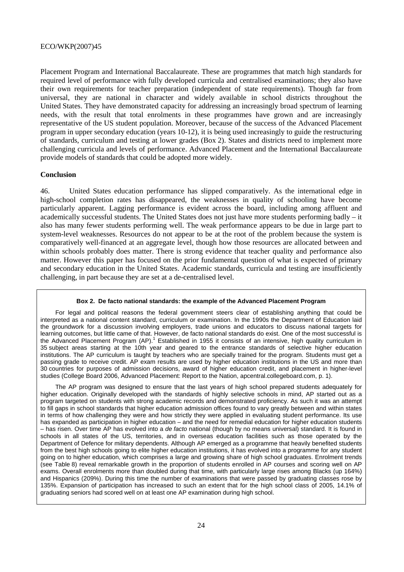Placement Program and International Baccalaureate. These are programmes that match high standards for required level of performance with fully developed curricula and centralised examinations; they also have their own requirements for teacher preparation (independent of state requirements). Though far from universal, they are national in character and widely available in school districts throughout the United States. They have demonstrated capacity for addressing an increasingly broad spectrum of learning needs, with the result that total enrolments in these programmes have grown and are increasingly representative of the US student population. Moreover, because of the success of the Advanced Placement program in upper secondary education (years 10-12), it is being used increasingly to guide the restructuring of standards, curriculum and testing at lower grades (Box 2). States and districts need to implement more challenging curricula and levels of performance. Advanced Placement and the International Baccalaureate provide models of standards that could be adopted more widely.

# **Conclusion**

46. United States education performance has slipped comparatively. As the international edge in high-school completion rates has disappeared, the weaknesses in quality of schooling have become particularly apparent. Lagging performance is evident across the board, including among affluent and academically successful students. The United States does not just have more students performing badly – it also has many fewer students performing well. The weak performance appears to be due in large part to system-level weaknesses. Resources do not appear to be at the root of the problem because the system is comparatively well-financed at an aggregate level, though how those resources are allocated between and within schools probably does matter. There is strong evidence that teacher quality and performance also matter. However this paper has focused on the prior fundamental question of what is expected of primary and secondary education in the United States. Academic standards, curricula and testing are insufficiently challenging, in part because they are set at a de-centralised level.

#### **Box 2. De facto national standards: the example of the Advanced Placement Program**

For legal and political reasons the federal government steers clear of establishing anything that could be interpreted as a national content standard, curriculum or examination. In the 1990s the Department of Education laid the groundwork for a discussion involving employers, trade unions and educators to discuss national targets for learning outcomes, but little came of that. However, de facto national standards do exist. One of the most successful is the Advanced Placement Program (AP).<sup>1</sup> Established in 1955 it consists of an intensive, high quality curriculum in 35 subject areas starting at the 10th year and geared to the entrance standards of selective higher education institutions. The AP curriculum is taught by teachers who are specially trained for the program. Students must get a passing grade to receive credit. AP exam results are used by higher education institutions in the US and more than 30 countries for purposes of admission decisions, award of higher education credit, and placement in higher-level studies (College Board 2006, Advanced Placement: Report to the Nation, apcentral.collegeboard.com, p. 1).

The AP program was designed to ensure that the last years of high school prepared students adequately for higher education. Originally developed with the standards of highly selective schools in mind, AP started out as a program targeted on students with strong academic records and demonstrated proficiency. As such it was an attempt to fill gaps in school standards that higher education admission offices found to vary greatly between and within states in terms of how challenging they were and how strictly they were applied in evaluating student performance. Its use has expanded as participation in higher education – and the need for remedial education for higher education students – has risen. Over time AP has evolved into a *de facto* national (though by no means universal) standard. It is found in schools in all states of the US, territories, and in overseas education facilities such as those operated by the Department of Defence for military dependents. Although AP emerged as a programme that heavily benefited students from the best high schools going to elite higher education institutions, it has evolved into a programme for any student going on to higher education, which comprises a large and growing share of high school graduates. Enrolment trends (see Table 8) reveal remarkable growth in the proportion of students enrolled in AP courses and scoring well on AP exams. Overall enrolments more than doubled during that time, with particularly large rises among Blacks (up 164%) and Hispanics (209%). During this time the number of examinations that were passed by graduating classes rose by 135%. Expansion of participation has increased to such an extent that for the high school class of 2005, 14.1% of graduating seniors had scored well on at least one AP examination during high school.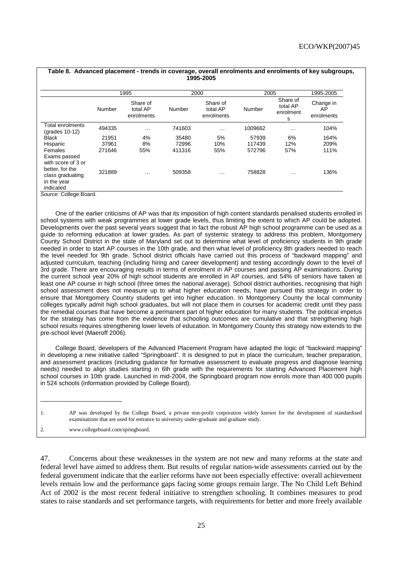|                                                                 | 1995   |                                    | 2000   |                                    | 2005    |                                        | 1995-2005                     |  |
|-----------------------------------------------------------------|--------|------------------------------------|--------|------------------------------------|---------|----------------------------------------|-------------------------------|--|
|                                                                 | Number | Share of<br>total AP<br>enrolments | Number | Share of<br>total AP<br>enrolments | Number  | Share of<br>total AP<br>enrolment<br>s | Change in<br>AP<br>enrolments |  |
| <b>Total enrolments</b><br>$(grades 10-12)$                     | 494335 | $\cdots$                           | 741603 | $\cdots$                           | 1009662 | $\cdots$                               | 104%                          |  |
| <b>Black</b>                                                    | 21951  | 4%                                 | 35480  | 5%                                 | 57939   | 6%                                     | 164%                          |  |
| Hispanic                                                        | 37961  | 8%                                 | 72996  | 10%                                | 117439  | 12%                                    | 209%                          |  |
| Females<br>Exams passed<br>with score of 3 or                   | 271646 | 55%                                | 411316 | 55%                                | 572796  | 57%                                    | 111%                          |  |
| better, for the<br>class graduating<br>in the year<br>indicated | 321889 | .                                  | 509358 | $\cdots$                           | 758828  | $\cdots$                               | 136%                          |  |

#### *Source*: College Board. One of the earlier criticisms of AP was that its imposition of high content standards penalised students enrolled in school systems with weak programmes at lower grade levels, thus limiting the extent to which AP could be adopted. Developments over the past several years suggest that in fact the robust AP high school programme can be used as a guide to reforming education at lower grades. As part of systemic strategy to address this problem, Montgomery County School District in the state of Maryland set out to determine what level of proficiency students in 9th grade needed in order to start AP courses in the 10th grade, and then what level of proficiency 8th graders needed to reach the level needed for 9th grade. School district officials have carried out this process of "backward mapping" and adjusted curriculum, teaching (including hiring and career development) and testing accordingly down to the level of 3rd grade. There are encouraging results in terms of enrolment in AP courses and passing AP examinations. During the current school year 20% of high school students are enrolled in AP courses, and 54% of seniors have taken at least one AP course in high school (three times the national average). School district authorities, recognising that high school assessment does not measure up to what higher education needs, have pursued this strategy in order to ensure that Montgomery Country students get into higher education. In Montgomery County the local community colleges typically admit high school graduates, but will not place them in courses for academic credit until they pass the remedial courses that have become a permanent part of higher education for many students. The political impetus for the strategy has come from the evidence that schooling outcomes are cumulative and that strengthening high school results requires strengthening lower levels of education. In Montgomery County this strategy now extends to the pre-school level (Maeroff 2006).

College Board, developers of the Advanced Placement Program have adapted the logic of "backward mapping" in developing a new initiative called "Springboard". It is designed to put in place the curriculum, teacher preparation, and assessment practices (including guidance for formative assessment to evaluate progress and diagnose learning needs) needed to align studies starting in 6th grade with the requirements for starting Advanced Placement high school courses in 10th grade. Launched in mid-2004, the Springboard program now enrols more than 400 000 pupils in 524 schools (information provided by College Board).

1. AP was developed by the College Board, a private non-profit corporation widely known for the development of standardised examinations that are used for entrance to university under-graduate and graduate study.

2. www.collegeboard.com/springboard.

\_\_\_\_\_\_\_\_\_\_\_\_\_\_\_\_\_\_\_\_\_\_\_\_

47. Concerns about these weaknesses in the system are not new and many reforms at the state and federal level have aimed to address them. But results of regular nation-wide assessments carried out by the federal government indicate that the earlier reforms have not been especially effective: overall achievement levels remain low and the performance gaps facing some groups remain large. The No Child Left Behind Act of 2002 is the most recent federal initiative to strengthen schooling. It combines measures to prod states to raise standards and set performance targets, with requirements for better and more freely available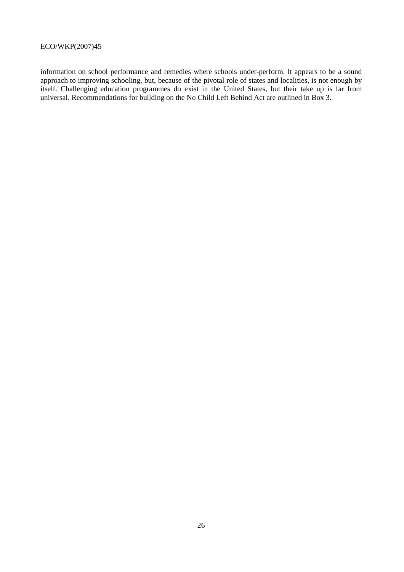information on school performance and remedies where schools under-perform. It appears to be a sound approach to improving schooling, but, because of the pivotal role of states and localities, is not enough by itself. Challenging education programmes do exist in the United States, but their take up is far from universal. Recommendations for building on the No Child Left Behind Act are outlined in Box 3.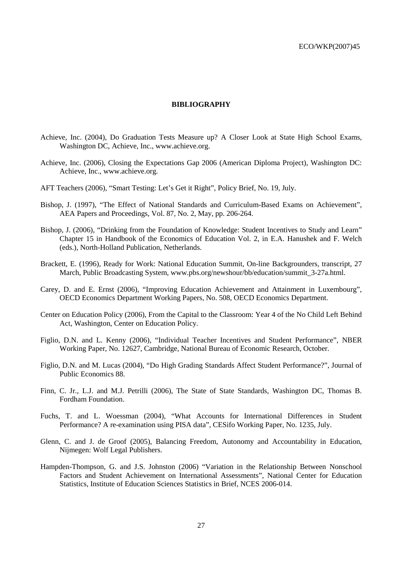#### **BIBLIOGRAPHY**

- Achieve, Inc. (2004), Do Graduation Tests Measure up? A Closer Look at State High School Exams, Washington DC, Achieve, Inc., www.achieve.org.
- Achieve, Inc. (2006), Closing the Expectations Gap 2006 (American Diploma Project), Washington DC: Achieve, Inc., www.achieve.org.
- AFT Teachers (2006), "Smart Testing: Let's Get it Right", Policy Brief, No. 19, July.
- Bishop, J. (1997), "The Effect of National Standards and Curriculum-Based Exams on Achievement", AEA Papers and Proceedings, Vol. 87, No. 2, May, pp. 206-264.
- Bishop, J. (2006), "Drinking from the Foundation of Knowledge: Student Incentives to Study and Learn" Chapter 15 in Handbook of the Economics of Education Vol. 2, in E.A. Hanushek and F. Welch (eds.), North-Holland Publication, Netherlands.
- Brackett, E. (1996), Ready for Work: National Education Summit, On-line Backgrounders, transcript, 27 March, Public Broadcasting System, www.pbs.org/newshour/bb/education/summit\_3-27a.html.
- Carey, D. and E. Ernst (2006), "Improving Education Achievement and Attainment in Luxembourg", OECD Economics Department Working Papers, No. 508, OECD Economics Department.
- Center on Education Policy (2006), From the Capital to the Classroom: Year 4 of the No Child Left Behind Act, Washington, Center on Education Policy.
- Figlio, D.N. and L. Kenny (2006), "Individual Teacher Incentives and Student Performance", NBER Working Paper, No. 12627, Cambridge, National Bureau of Economic Research, October.
- Figlio, D.N. and M. Lucas (2004), "Do High Grading Standards Affect Student Performance?", Journal of Public Economics 88.
- Finn, C. Jr., L.J. and M.J. Petrilli (2006), The State of State Standards, Washington DC, Thomas B. Fordham Foundation.
- Fuchs, T. and L. Woessman (2004), "What Accounts for International Differences in Student Performance? A re-examination using PISA data", CESifo Working Paper, No. 1235, July.
- Glenn, C. and J. de Groof (2005), Balancing Freedom, Autonomy and Accountability in Education, Nijmegen: Wolf Legal Publishers.
- Hampden-Thompson, G. and J.S. Johnston (2006) "Variation in the Relationship Between Nonschool Factors and Student Achievement on International Assessments", National Center for Education Statistics, Institute of Education Sciences Statistics in Brief, NCES 2006-014.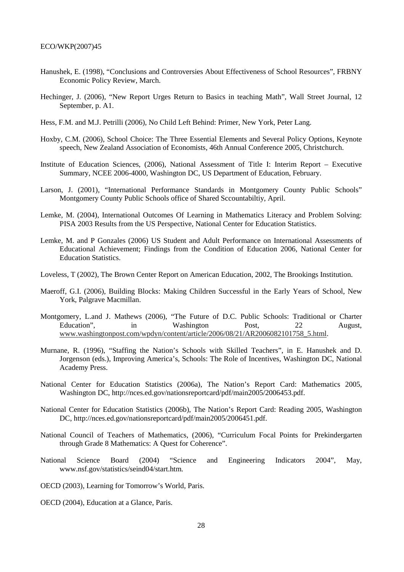- Hanushek, E. (1998), "Conclusions and Controversies About Effectiveness of School Resources", FRBNY Economic Policy Review, March.
- Hechinger, J. (2006), "New Report Urges Return to Basics in teaching Math", Wall Street Journal, 12 September, p. A1.
- Hess, F.M. and M.J. Petrilli (2006), No Child Left Behind: Primer, New York, Peter Lang.
- Hoxby, C.M. (2006), School Choice: The Three Essential Elements and Several Policy Options, Keynote speech, New Zealand Association of Economists, 46th Annual Conference 2005, Christchurch.
- Institute of Education Sciences, (2006), National Assessment of Title I: Interim Report Executive Summary, NCEE 2006-4000, Washington DC, US Department of Education, February.
- Larson, J. (2001), "International Performance Standards in Montgomery County Public Schools" Montgomery County Public Schools office of Shared Sccountabiltiy, April.
- Lemke, M. (2004), International Outcomes Of Learning in Mathematics Literacy and Problem Solving: PISA 2003 Results from the US Perspective, National Center for Education Statistics.
- Lemke, M. and P Gonzales (2006) US Student and Adult Performance on International Assessments of Educational Achievement; Findings from the Condition of Education 2006, National Center for Education Statistics.
- Loveless, T (2002), The Brown Center Report on American Education, 2002, The Brookings Institution.
- Maeroff, G.I. (2006), Building Blocks: Making Children Successful in the Early Years of School, New York, Palgrave Macmillan.
- Montgomery, L.and J. Mathews (2006), "The Future of D.C. Public Schools: Traditional or Charter Education",  $\qquad \qquad$  in Washington Post, 22 August, www.washingtonpost.com/wpdyn/content/article/2006/08/21/AR2006082101758\_5.html.
- Murnane, R. (1996), "Staffing the Nation's Schools with Skilled Teachers", in E. Hanushek and D. Jorgenson (eds.), Improving America's, Schools: The Role of Incentives, Washington DC, National Academy Press.
- National Center for Education Statistics (2006a), The Nation's Report Card: Mathematics 2005, Washington DC, http://nces.ed.gov/nationsreportcard/pdf/main2005/2006453.pdf.
- National Center for Education Statistics (2006b), The Nation's Report Card: Reading 2005, Washington DC, http://nces.ed.gov/nationsreportcard/pdf/main2005/2006451.pdf.
- National Council of Teachers of Mathematics, (2006), "Curriculum Focal Points for Prekindergarten through Grade 8 Mathematics: A Quest for Coherence".
- National Science Board (2004) "Science and Engineering Indicators 2004", May, www.nsf.gov/statistics/seind04/start.htm.
- OECD (2003), Learning for Tomorrow's World, Paris.
- OECD (2004), Education at a Glance, Paris.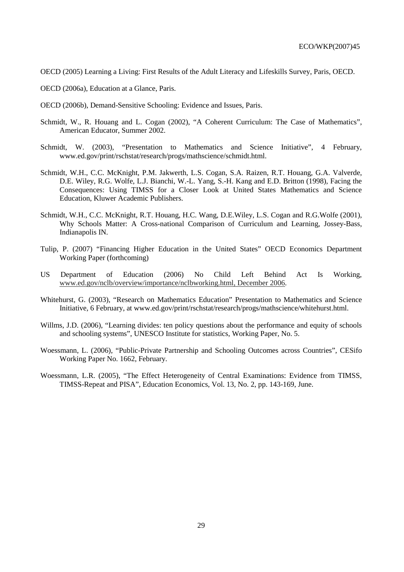- OECD (2005) Learning a Living: First Results of the Adult Literacy and Lifeskills Survey, Paris, OECD.
- OECD (2006a), Education at a Glance, Paris.
- OECD (2006b), Demand-Sensitive Schooling: Evidence and Issues, Paris.
- Schmidt, W., R. Houang and L. Cogan (2002), "A Coherent Curriculum: The Case of Mathematics", American Educator, Summer 2002.
- Schmidt, W. (2003), "Presentation to Mathematics and Science Initiative", 4 February, www.ed.gov/print/rschstat/research/progs/mathscience/schmidt.html.
- Schmidt, W.H., C.C. McKnight, P.M. Jakwerth, L.S. Cogan, S.A. Raizen, R.T. Houang, G.A. Valverde, D.E. Wiley, R.G. Wolfe, L.J. Bianchi, W.-L. Yang, S.-H. Kang and E.D. Britton (1998), Facing the Consequences: Using TIMSS for a Closer Look at United States Mathematics and Science Education, Kluwer Academic Publishers.
- Schmidt, W.H., C.C. McKnight, R.T. Houang, H.C. Wang, D.E.Wiley, L.S. Cogan and R.G.Wolfe (2001), Why Schools Matter: A Cross-national Comparison of Curriculum and Learning, Jossey-Bass, Indianapolis IN.
- Tulip, P. (2007) "Financing Higher Education in the United States" OECD Economics Department Working Paper (forthcoming)
- US Department of Education (2006) No Child Left Behind Act Is Working, www.ed.gov/nclb/overview/importance/nclbworking.html, December 2006.
- Whitehurst, G. (2003), "Research on Mathematics Education" Presentation to Mathematics and Science Initiative, 6 February, at www.ed.gov/print/rschstat/research/progs/mathscience/whitehurst.html.
- Willms, J.D. (2006), "Learning divides: ten policy questions about the performance and equity of schools and schooling systems", UNESCO Institute for statistics, Working Paper, No. 5.
- Woessmann, L. (2006), "Public-Private Partnership and Schooling Outcomes across Countries", CESifo Working Paper No. 1662, February.
- Woessmann, L.R. (2005), "The Effect Heterogeneity of Central Examinations: Evidence from TIMSS, TIMSS-Repeat and PISA", Education Economics, Vol. 13, No. 2, pp. 143-169, June.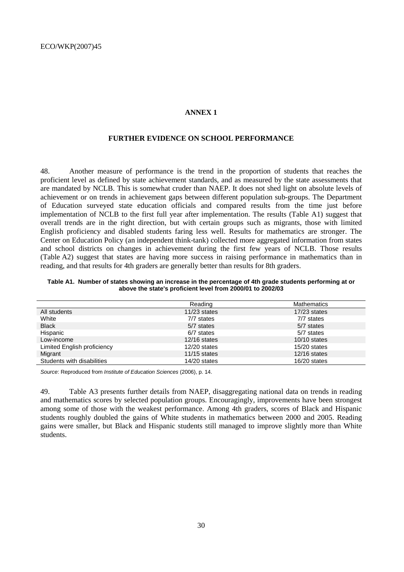# **ANNEX 1**

# **FURTHER EVIDENCE ON SCHOOL PERFORMANCE**

48. Another measure of performance is the trend in the proportion of students that reaches the proficient level as defined by state achievement standards, and as measured by the state assessments that are mandated by NCLB. This is somewhat cruder than NAEP. It does not shed light on absolute levels of achievement or on trends in achievement gaps between different population sub-groups. The Department of Education surveyed state education officials and compared results from the time just before implementation of NCLB to the first full year after implementation. The results (Table A1) suggest that overall trends are in the right direction, but with certain groups such as migrants, those with limited English proficiency and disabled students faring less well. Results for mathematics are stronger. The Center on Education Policy (an independent think-tank) collected more aggregated information from states and school districts on changes in achievement during the first few years of NCLB. Those results (Table A2) suggest that states are having more success in raising performance in mathematics than in reading, and that results for 4th graders are generally better than results for 8th graders.

**Table A1. Number of states showing an increase in the percentage of 4th grade students performing at or above the state's proficient level from 2000/01 to 2002/03** 

|                             | Reading        | <b>Mathematics</b> |
|-----------------------------|----------------|--------------------|
| All students                | $11/23$ states | $17/23$ states     |
| White                       | 7/7 states     | 7/7 states         |
| <b>Black</b>                | 5/7 states     | 5/7 states         |
| Hispanic                    | 6/7 states     | 5/7 states         |
| Low-income                  | $12/16$ states | $10/10$ states     |
| Limited English proficiency | $12/20$ states | $15/20$ states     |
| Migrant                     | $11/15$ states | $12/16$ states     |
| Students with disabilities  | 14/20 states   | 16/20 states       |

*Source*: Reproduced from *Institute of Education Sciences* (2006), p. 14.

49. Table A3 presents further details from NAEP, disaggregating national data on trends in reading and mathematics scores by selected population groups. Encouragingly, improvements have been strongest among some of those with the weakest performance. Among 4th graders, scores of Black and Hispanic students roughly doubled the gains of White students in mathematics between 2000 and 2005. Reading gains were smaller, but Black and Hispanic students still managed to improve slightly more than White students.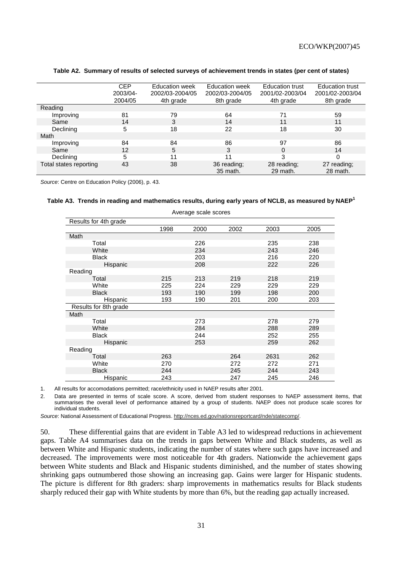|                        | <b>CEP</b><br>2003/04-<br>2004/05 | <b>Education week</b><br>2002/03-2004/05<br>4th grade | <b>Education week</b><br>2002/03-2004/05<br>8th grade | <b>Education trust</b><br>2001/02-2003/04<br>4th grade | <b>Education trust</b><br>2001/02-2003/04<br>8th grade |
|------------------------|-----------------------------------|-------------------------------------------------------|-------------------------------------------------------|--------------------------------------------------------|--------------------------------------------------------|
|                        |                                   |                                                       |                                                       |                                                        |                                                        |
| Reading                |                                   |                                                       |                                                       |                                                        |                                                        |
| Improving              | 81                                | 79                                                    | 64                                                    | 71                                                     | 59                                                     |
| Same                   | 14                                | 3                                                     | 14                                                    | 11                                                     | 11                                                     |
| Declining              | 5                                 | 18                                                    | 22                                                    | 18                                                     | 30                                                     |
| Math                   |                                   |                                                       |                                                       |                                                        |                                                        |
| Improving              | 84                                | 84                                                    | 86                                                    | 97                                                     | 86                                                     |
| Same                   | 12                                | 5                                                     | 3                                                     | $\Omega$                                               | 14                                                     |
| Declining              | 5                                 | 11                                                    | 11                                                    | 3                                                      | 0                                                      |
| Total states reporting | 43                                | 38                                                    | 36 reading;<br>35 math.                               | 28 reading:<br>29 math.                                | 27 reading;<br>28 math.                                |

#### **Table A2. Summary of results of selected surveys of achievement trends in states (per cent of states)**

*Source*: Centre on Education Policy (2006), p. 43.

#### **Table A3. Trends in reading and mathematics results, during early years of NCLB, as measured by NAEP<sup>1</sup>**

| Arciage suaic subics  |      |      |      |      |      |  |  |
|-----------------------|------|------|------|------|------|--|--|
| Results for 4th grade |      |      |      |      |      |  |  |
|                       | 1998 | 2000 | 2002 | 2003 | 2005 |  |  |
| Math                  |      |      |      |      |      |  |  |
| Total                 |      | 226  |      | 235  | 238  |  |  |
| White                 |      | 234  |      | 243  | 246  |  |  |
| <b>Black</b>          |      | 203  |      | 216  | 220  |  |  |
| Hispanic              |      | 208  |      | 222  | 226  |  |  |
| Reading               |      |      |      |      |      |  |  |
| Total                 | 215  | 213  | 219  | 218  | 219  |  |  |
| White                 | 225  | 224  | 229  | 229  | 229  |  |  |
| <b>Black</b>          | 193  | 190  | 199  | 198  | 200  |  |  |
| Hispanic              | 193  | 190  | 201  | 200  | 203  |  |  |
| Results for 8th grade |      |      |      |      |      |  |  |
| Math                  |      |      |      |      |      |  |  |
| Total                 |      | 273  |      | 278  | 279  |  |  |
| White                 |      | 284  |      | 288  | 289  |  |  |
| <b>Black</b>          |      | 244  |      | 252  | 255  |  |  |
| Hispanic              |      | 253  |      | 259  | 262  |  |  |
| Reading               |      |      |      |      |      |  |  |
| Total                 | 263  |      | 264  | 2631 | 262  |  |  |
| White                 | 270  |      | 272  | 272  | 271  |  |  |
| <b>Black</b>          | 244  |      | 245  | 244  | 243  |  |  |
| Hispanic              | 243  |      | 247  | 245  | 246  |  |  |

Average scale scores

1. All results for accomodations permitted; race/ethnicity used in NAEP results after 2001.

2. Data are presented in terms of scale score. A score, derived from student responses to NAEP assessment items, that summarises the overall level of performance attained by a group of students. NAEP does not produce scale scores for individual students.

*Source*: National Assessment of Educational Progress. http://nces.ed.gov/nationsreportcard/nde/statecomp/.

50. These differential gains that are evident in Table A3 led to widespread reductions in achievement gaps. Table A4 summarises data on the trends in gaps between White and Black students, as well as between White and Hispanic students, indicating the number of states where such gaps have increased and decreased. The improvements were most noticeable for 4th graders. Nationwide the achievement gaps between White students and Black and Hispanic students diminished, and the number of states showing shrinking gaps outnumbered those showing an increasing gap. Gains were larger for Hispanic students. The picture is different for 8th graders: sharp improvements in mathematics results for Black students sharply reduced their gap with White students by more than 6%, but the reading gap actually increased.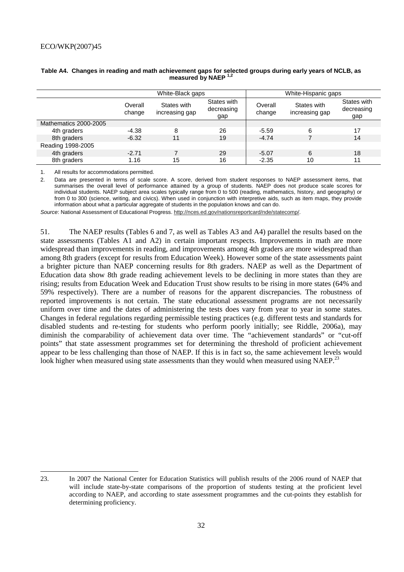|                       |                   | White-Black gaps              |                                  | White-Hispanic gaps |                               |                                  |  |
|-----------------------|-------------------|-------------------------------|----------------------------------|---------------------|-------------------------------|----------------------------------|--|
|                       | Overall<br>change | States with<br>increasing gap | States with<br>decreasing<br>gap | Overall<br>change   | States with<br>increasing gap | States with<br>decreasing<br>gap |  |
| Mathematics 2000-2005 |                   |                               |                                  |                     |                               |                                  |  |
| 4th graders           | $-4.38$           | 8                             | 26                               | $-5.59$             | 6                             | 17                               |  |
| 8th graders           | $-6.32$           | 11                            | 19                               | $-4.74$             |                               | 14                               |  |
| Reading 1998-2005     |                   |                               |                                  |                     |                               |                                  |  |
| 4th graders           | $-2.71$           |                               | 29                               | $-5.07$             | 6                             | 18                               |  |
| 8th graders           | 1.16              | 15                            | 16                               | $-2.35$             | 10                            | 11                               |  |

#### **Table A4. Changes in reading and math achievement gaps for selected groups during early years of NCLB, as measured by NAEP 1,2**

1. All results for accommodations permitted.

2. Data are presented in terms of scale score. A score, derived from student responses to NAEP assessment items, that summarises the overall level of performance attained by a group of students. NAEP does not produce scale scores for individual students. NAEP subject area scales typically range from 0 to 500 (reading, mathematics, history, and geography) or from 0 to 300 (science, writing, and civics). When used in conjunction with interpretive aids, such as item maps, they provide information about what a particular aggregate of students in the population knows and can do.

*Source*: National Assessment of Educational Progress. http://nces.ed.gov/nationsreportcard/nde/statecomp/.

51. The NAEP results (Tables 6 and 7, as well as Tables A3 and A4) parallel the results based on the state assessments (Tables A1 and A2) in certain important respects. Improvements in math are more widespread than improvements in reading, and improvements among 4th graders are more widespread than among 8th graders (except for results from Education Week). However some of the state assessments paint a brighter picture than NAEP concerning results for 8th graders. NAEP as well as the Department of Education data show 8th grade reading achievement levels to be declining in more states than they are rising; results from Education Week and Education Trust show results to be rising in more states (64% and 59% respectively). There are a number of reasons for the apparent discrepancies. The robustness of reported improvements is not certain. The state educational assessment programs are not necessarily uniform over time and the dates of administering the tests does vary from year to year in some states. Changes in federal regulations regarding permissible testing practices (e.g. different tests and standards for disabled students and re-testing for students who perform poorly initially; see Riddle, 2006a), may diminish the comparability of achievement data over time. The "achievement standards" or "cut-off points" that state assessment programmes set for determining the threshold of proficient achievement appear to be less challenging than those of NAEP. If this is in fact so, the same achievement levels would look higher when measured using state assessments than they would when measured using NAEP.<sup>23</sup>

 $\overline{a}$ 23. In 2007 the National Center for Education Statistics will publish results of the 2006 round of NAEP that will include state-by-state comparisons of the proportion of students testing at the proficient level according to NAEP, and according to state assessment programmes and the cut-points they establish for determining proficiency.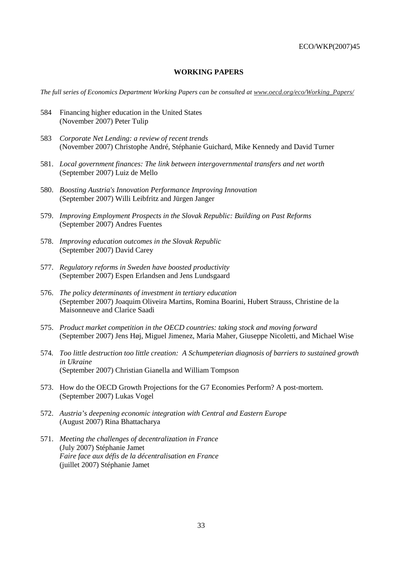# **WORKING PAPERS**

*The full series of Economics Department Working Papers can be consulted at www.oecd.org/eco/Working\_Papers/*

- 584 Financing higher education in the United States (November 2007) Peter Tulip
- 583 *Corporate Net Lending: a review of recent trends* (November 2007) Christophe André, Stéphanie Guichard, Mike Kennedy and David Turner
- 581. *Local government finances: The link between intergovernmental transfers and net worth*  (September 2007) Luiz de Mello
- 580. *Boosting Austria's Innovation Performance Improving Innovation* (September 2007) Willi Leibfritz and Jürgen Janger
- 579. *Improving Employment Prospects in the Slovak Republic: Building on Past Reforms*  (September 2007) Andres Fuentes
- 578. *Improving education outcomes in the Slovak Republic* (September 2007) David Carey
- 577. *Regulatory reforms in Sweden have boosted productivity*  (September 2007) Espen Erlandsen and Jens Lundsgaard
- 576. *The policy determinants of investment in tertiary education*  (September 2007) Joaquim Oliveira Martins, Romina Boarini, Hubert Strauss, Christine de la Maisonneuve and Clarice Saadi
- 575. *Product market competition in the OECD countries: taking stock and moving forward*  (September 2007) Jens Høj, Miguel Jimenez, Maria Maher, Giuseppe Nicoletti, and Michael Wise
- 574*. Too little destruction too little creation: A Schumpeterian diagnosis of barriers to sustained growth in Ukraine*  (September 2007) Christian Gianella and William Tompson
- 573. How do the OECD Growth Projections for the G7 Economies Perform? A post-mortem. (September 2007) Lukas Vogel
- 572. *Austria's deepening economic integration with Central and Eastern Europe* (August 2007) Rina Bhattacharya
- 571. *Meeting the challenges of decentralization in France*  (July 2007) Stéphanie Jamet *Faire face aux défis de la décentralisation en France*  (juillet 2007) Stéphanie Jamet